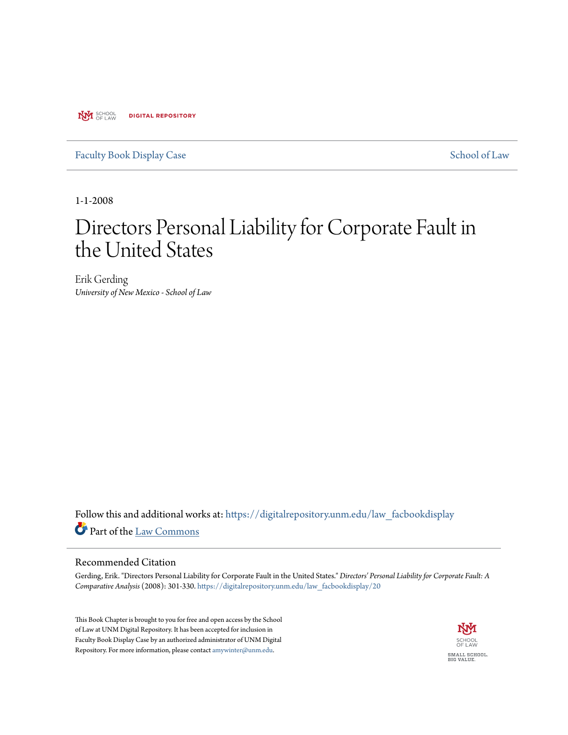**NVI** SCHOOL **DIGITAL REPOSITORY** 

[Faculty Book Display Case](https://digitalrepository.unm.edu/law_facbookdisplay?utm_source=digitalrepository.unm.edu%2Flaw_facbookdisplay%2F20&utm_medium=PDF&utm_campaign=PDFCoverPages) [School of Law](https://digitalrepository.unm.edu/law?utm_source=digitalrepository.unm.edu%2Flaw_facbookdisplay%2F20&utm_medium=PDF&utm_campaign=PDFCoverPages)

1-1-2008

# Directors Personal Liability for Corporate Fault in the United States

Erik Gerding *University of New Mexico - School of Law*

Follow this and additional works at: [https://digitalrepository.unm.edu/law\\_facbookdisplay](https://digitalrepository.unm.edu/law_facbookdisplay?utm_source=digitalrepository.unm.edu%2Flaw_facbookdisplay%2F20&utm_medium=PDF&utm_campaign=PDFCoverPages) Part of the [Law Commons](http://network.bepress.com/hgg/discipline/578?utm_source=digitalrepository.unm.edu%2Flaw_facbookdisplay%2F20&utm_medium=PDF&utm_campaign=PDFCoverPages)

#### Recommended Citation

Gerding, Erik. "Directors Personal Liability for Corporate Fault in the United States." *Directors' Personal Liability for Corporate Fault: A Comparative Analysis* (2008): 301-330. [https://digitalrepository.unm.edu/law\\_facbookdisplay/20](https://digitalrepository.unm.edu/law_facbookdisplay/20?utm_source=digitalrepository.unm.edu%2Flaw_facbookdisplay%2F20&utm_medium=PDF&utm_campaign=PDFCoverPages)

This Book Chapter is brought to you for free and open access by the School of Law at UNM Digital Repository. It has been accepted for inclusion in Faculty Book Display Case by an authorized administrator of UNM Digital Repository. For more information, please contact [amywinter@unm.edu](mailto:amywinter@unm.edu).

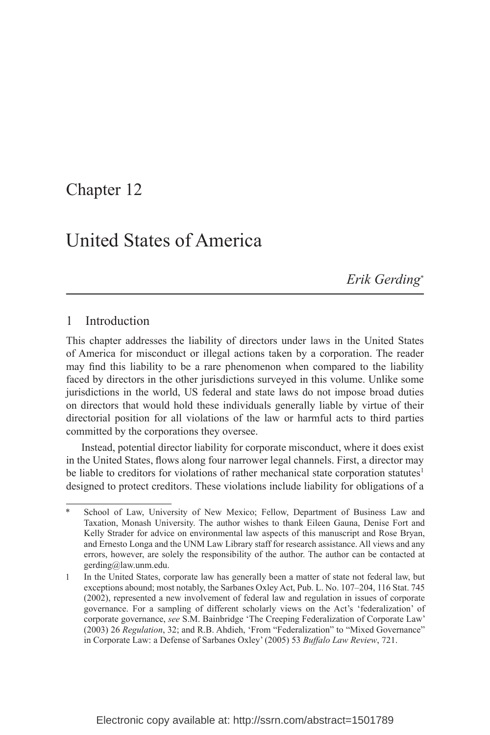## Chapter 12

## United States of America

*Erik Gerding*\*

#### 1 Introduction

This chapter addresses the liability of directors under laws in the United States of America for misconduct or illegal actions taken by a corporation. The reader may find this liability to be a rare phenomenon when compared to the liability faced by directors in the other jurisdictions surveyed in this volume. Unlike some jurisdictions in the world, US federal and state laws do not impose broad duties on directors that would hold these individuals generally liable by virtue of their directorial position for all violations of the law or harmful acts to third parties committed by the corporations they oversee.

Instead, potential director liability for corporate misconduct, where it does exist in the United States, flows along four narrower legal channels. First, a director may be liable to creditors for violations of rather mechanical state corporation statutes<sup>1</sup> designed to protect creditors. These violations include liability for obligations of a

School of Law, University of New Mexico; Fellow, Department of Business Law and Taxation, Monash University. The author wishes to thank Eileen Gauna, Denise Fort and Kelly Strader for advice on environmental law aspects of this manuscript and Rose Bryan, and Ernesto Longa and the UNM Law Library staff for research assistance. All views and any errors, however, are solely the responsibility of the author. The author can be contacted at gerding@law.unm.edu.

<sup>1</sup> In the United States, corporate law has generally been a matter of state not federal law, but exceptions abound; most notably, the Sarbanes Oxley Act, Pub. L. No. 107–204, 116 Stat. 745 (2002), represented a new involvement of federal law and regulation in issues of corporate governance. For a sampling of different scholarly views on the Act's 'federalization' of corporate governance, *see* S.M. Bainbridge 'The Creeping Federalization of Corporate Law' (2003) 26 *Regulation*, 32; and R.B. Ahdieh, 'From "Federalization" to "Mixed Governance" in Corporate Law: a Defense of Sarbanes Oxley' (2005) 53 *Buffalo Law Review*, 721.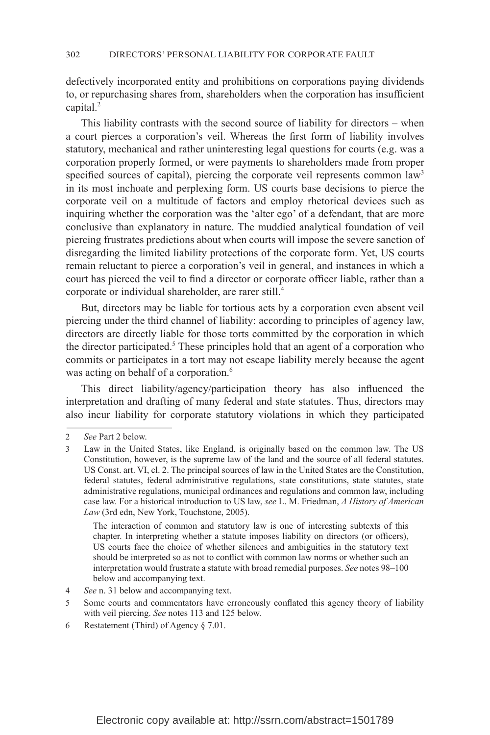defectively incorporated entity and prohibitions on corporations paying dividends to, or repurchasing shares from, shareholders when the corporation has insufficient capital.<sup>2</sup>

This liability contrasts with the second source of liability for directors – when a court pierces a corporation's veil. Whereas the first form of liability involves statutory, mechanical and rather uninteresting legal questions for courts (e.g. was a corporation properly formed, or were payments to shareholders made from proper specified sources of capital), piercing the corporate veil represents common law<sup>3</sup> in its most inchoate and perplexing form. US courts base decisions to pierce the corporate veil on a multitude of factors and employ rhetorical devices such as inquiring whether the corporation was the 'alter ego' of a defendant, that are more conclusive than explanatory in nature. The muddied analytical foundation of veil piercing frustrates predictions about when courts will impose the severe sanction of disregarding the limited liability protections of the corporate form. Yet, US courts remain reluctant to pierce a corporation's veil in general, and instances in which a court has pierced the veil to find a director or corporate officer liable, rather than a corporate or individual shareholder, are rarer still.4

But, directors may be liable for tortious acts by a corporation even absent veil piercing under the third channel of liability: according to principles of agency law, directors are directly liable for those torts committed by the corporation in which the director participated.<sup>5</sup> These principles hold that an agent of a corporation who commits or participates in a tort may not escape liability merely because the agent was acting on behalf of a corporation.<sup>6</sup>

This direct liability/agency/participation theory has also influenced the interpretation and drafting of many federal and state statutes. Thus, directors may also incur liability for corporate statutory violations in which they participated

The interaction of common and statutory law is one of interesting subtexts of this chapter. In interpreting whether a statute imposes liability on directors (or officers), US courts face the choice of whether silences and ambiguities in the statutory text should be interpreted so as not to conflict with common law norms or whether such an interpretation would frustrate a statute with broad remedial purposes. *See* notes 98–100 below and accompanying text.

6 Restatement (Third) of Agency § 7.01.

<sup>2</sup> *See* Part 2 below.

<sup>3</sup> Law in the United States, like England, is originally based on the common law. The US Constitution, however, is the supreme law of the land and the source of all federal statutes. US Const. art. VI, cl. 2. The principal sources of law in the United States are the Constitution, federal statutes, federal administrative regulations, state constitutions, state statutes, state administrative regulations, municipal ordinances and regulations and common law, including case law. For a historical introduction to US law, *see* L. M. Friedman, *A History of American Law* (3rd edn, New York, Touchstone, 2005).

<sup>4</sup> *See* n. 31 below and accompanying text.

<sup>5</sup> Some courts and commentators have erroneously conflated this agency theory of liability with veil piercing. *See* notes 113 and 125 below.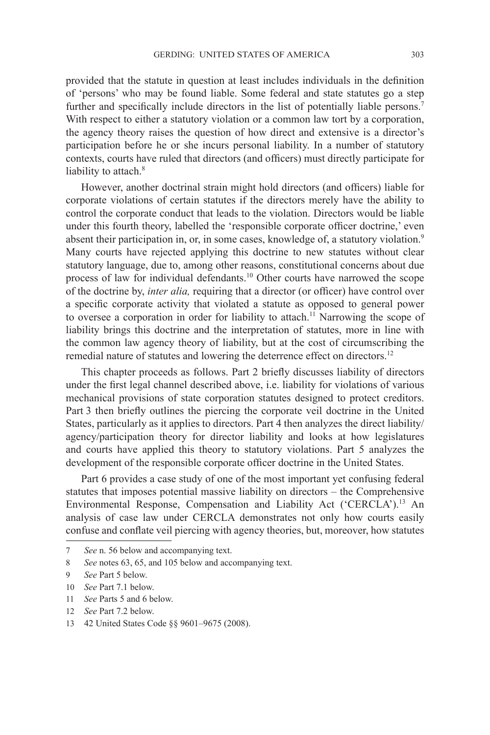provided that the statute in question at least includes individuals in the definition of 'persons' who may be found liable. Some federal and state statutes go a step further and specifically include directors in the list of potentially liable persons.<sup>7</sup> With respect to either a statutory violation or a common law tort by a corporation, the agency theory raises the question of how direct and extensive is a director's participation before he or she incurs personal liability. In a number of statutory contexts, courts have ruled that directors (and officers) must directly participate for liability to attach.<sup>8</sup>

However, another doctrinal strain might hold directors (and officers) liable for corporate violations of certain statutes if the directors merely have the ability to control the corporate conduct that leads to the violation. Directors would be liable under this fourth theory, labelled the 'responsible corporate officer doctrine,' even absent their participation in, or, in some cases, knowledge of, a statutory violation.<sup>9</sup> Many courts have rejected applying this doctrine to new statutes without clear statutory language, due to, among other reasons, constitutional concerns about due process of law for individual defendants.<sup>10</sup> Other courts have narrowed the scope of the doctrine by, *inter alia*, requiring that a director (or officer) have control over a specific corporate activity that violated a statute as opposed to general power to oversee a corporation in order for liability to attach.<sup>11</sup> Narrowing the scope of liability brings this doctrine and the interpretation of statutes, more in line with the common law agency theory of liability, but at the cost of circumscribing the remedial nature of statutes and lowering the deterrence effect on directors.<sup>12</sup>

This chapter proceeds as follows. Part 2 briefly discusses liability of directors under the first legal channel described above, i.e. liability for violations of various mechanical provisions of state corporation statutes designed to protect creditors. Part 3 then briefly outlines the piercing the corporate veil doctrine in the United States, particularly as it applies to directors. Part 4 then analyzes the direct liability/ agency/participation theory for director liability and looks at how legislatures and courts have applied this theory to statutory violations. Part 5 analyzes the development of the responsible corporate officer doctrine in the United States.

Part 6 provides a case study of one of the most important yet confusing federal statutes that imposes potential massive liability on directors – the Comprehensive Environmental Response, Compensation and Liability Act ('CERCLA').<sup>13</sup> An analysis of case law under CERCLA demonstrates not only how courts easily confuse and conflate veil piercing with agency theories, but, moreover, how statutes

11 *See* Parts 5 and 6 below.

<sup>7</sup> *See* n. 56 below and accompanying text.

<sup>8</sup> *See* notes 63, 65, and 105 below and accompanying text.

<sup>9</sup> *See* Part 5 below.

<sup>10</sup> *See* Part 7.1 below.

<sup>12</sup> *See* Part 7.2 below.

<sup>13 42</sup> United States Code §§ 9601–9675 (2008).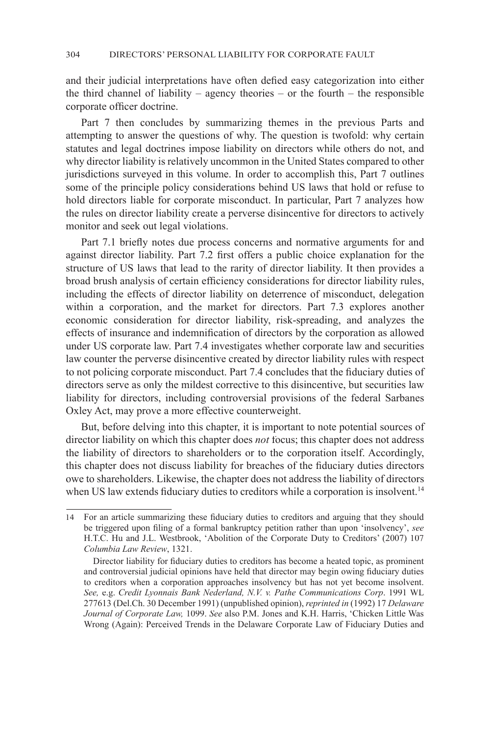and their judicial interpretations have often defied easy categorization into either the third channel of liability – agency theories – or the fourth – the responsible corporate officer doctrine.

Part 7 then concludes by summarizing themes in the previous Parts and attempting to answer the questions of why. The question is twofold: why certain statutes and legal doctrines impose liability on directors while others do not, and why director liability is relatively uncommon in the United States compared to other jurisdictions surveyed in this volume. In order to accomplish this, Part 7 outlines some of the principle policy considerations behind US laws that hold or refuse to hold directors liable for corporate misconduct. In particular, Part 7 analyzes how the rules on director liability create a perverse disincentive for directors to actively monitor and seek out legal violations.

Part 7.1 briefly notes due process concerns and normative arguments for and against director liability. Part 7.2 first offers a public choice explanation for the structure of US laws that lead to the rarity of director liability. It then provides a broad brush analysis of certain efficiency considerations for director liability rules, including the effects of director liability on deterrence of misconduct, delegation within a corporation, and the market for directors. Part 7.3 explores another economic consideration for director liability, risk-spreading, and analyzes the effects of insurance and indemnification of directors by the corporation as allowed under US corporate law. Part 7.4 investigates whether corporate law and securities law counter the perverse disincentive created by director liability rules with respect to not policing corporate misconduct. Part 7.4 concludes that the fiduciary duties of directors serve as only the mildest corrective to this disincentive, but securities law liability for directors, including controversial provisions of the federal Sarbanes Oxley Act, may prove a more effective counterweight.

But, before delving into this chapter, it is important to note potential sources of director liability on which this chapter does *not* focus; this chapter does not address the liability of directors to shareholders or to the corporation itself. Accordingly, this chapter does not discuss liability for breaches of the fiduciary duties directors owe to shareholders. Likewise, the chapter does not address the liability of directors when US law extends fiduciary duties to creditors while a corporation is insolvent.<sup>14</sup>

<sup>14</sup> For an article summarizing these fiduciary duties to creditors and arguing that they should be triggered upon filing of a formal bankruptcy petition rather than upon 'insolvency', see H.T.C. Hu and J.L. Westbrook, 'Abolition of the Corporate Duty to Creditors' (2007) 107 *Columbia Law Review*, 1321.

Director liability for fiduciary duties to creditors has become a heated topic, as prominent and controversial judicial opinions have held that director may begin owing fiduciary duties to creditors when a corporation approaches insolvency but has not yet become insolvent. *See,* e.g. *Credit Lyonnais Bank Nederland, N.V. v. Pathe Communications Corp*. 1991 WL 277613 (Del.Ch. 30 December 1991) (unpublished opinion), *reprinted in* (1992) 17 *Delaware Journal of Corporate Law,* 1099. *See* also P.M. Jones and K.H. Harris, 'Chicken Little Was Wrong (Again): Perceived Trends in the Delaware Corporate Law of Fiduciary Duties and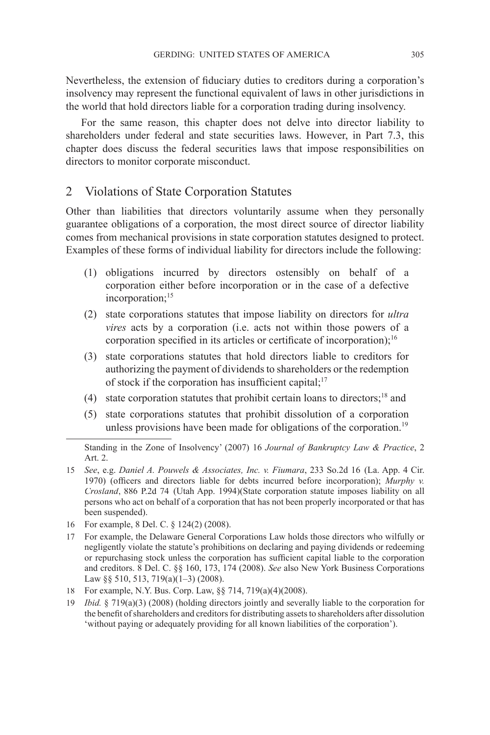Nevertheless, the extension of fiduciary duties to creditors during a corporation's insolvency may represent the functional equivalent of laws in other jurisdictions in the world that hold directors liable for a corporation trading during insolvency.

For the same reason, this chapter does not delve into director liability to shareholders under federal and state securities laws. However, in Part 7.3, this chapter does discuss the federal securities laws that impose responsibilities on directors to monitor corporate misconduct.

#### 2 Violations of State Corporation Statutes

Other than liabilities that directors voluntarily assume when they personally guarantee obligations of a corporation, the most direct source of director liability comes from mechanical provisions in state corporation statutes designed to protect. Examples of these forms of individual liability for directors include the following:

- (1) obligations incurred by directors ostensibly on behalf of a corporation either before incorporation or in the case of a defective incorporation;<sup>15</sup>
- (2) state corporations statutes that impose liability on directors for *ultra vires* acts by a corporation (i.e. acts not within those powers of a corporation specified in its articles or certificate of incorporation);<sup>16</sup>
- (3) state corporations statutes that hold directors liable to creditors for authorizing the payment of dividends to shareholders or the redemption of stock if the corporation has insufficient capital; $17$
- (4) state corporation statutes that prohibit certain loans to directors;<sup>18</sup> and
- (5) state corporations statutes that prohibit dissolution of a corporation unless provisions have been made for obligations of the corporation.<sup>19</sup>

Standing in the Zone of Insolvency' (2007) 16 *Journal of Bankruptcy Law & Practice*, 2 Art. 2.

- 15 *See*, e.g. *Daniel A. Pouwels & Associates, Inc. v. Fiumara*, 233 So.2d 16 (La. App. 4 Cir. 1970) (officers and directors liable for debts incurred before incorporation); *Murphy v. Crosland*, 886 P.2d 74 (Utah App. 1994)(State corporation statute imposes liability on all persons who act on behalf of a corporation that has not been properly incorporated or that has been suspended).
- 16 For example, 8 Del. C. § 124(2) (2008).
- 17 For example, the Delaware General Corporations Law holds those directors who wilfully or negligently violate the statute's prohibitions on declaring and paying dividends or redeeming or repurchasing stock unless the corporation has sufficient capital liable to the corporation and creditors. 8 Del. C. §§ 160, 173, 174 (2008). *See* also New York Business Corporations Law §§ 510, 513, 719(a)(1-3) (2008).
- 18 For example, N.Y. Bus. Corp. Law, §§ 714, 719(a)(4)(2008).
- 19 *Ibid.* § 719(a)(3) (2008) (holding directors jointly and severally liable to the corporation for the benefit of shareholders and creditors for distributing assets to shareholders after dissolution 'without paying or adequately providing for all known liabilities of the corporation').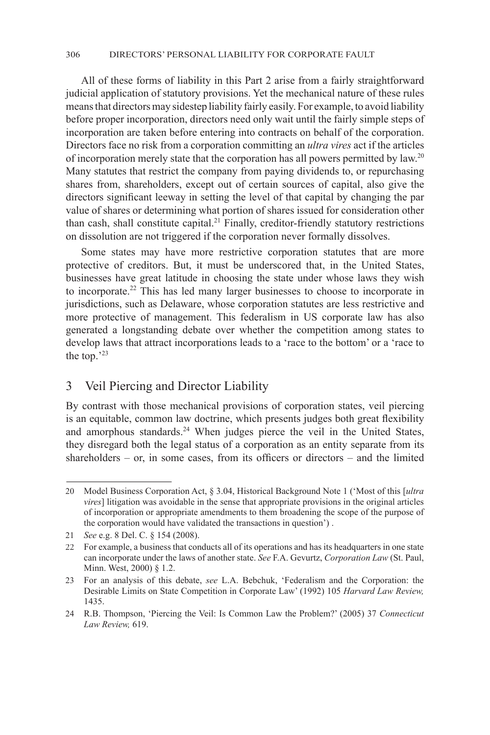#### 306 DIRECTORS' PERSONAL LIABILITY FOR CORPORATE FAULT

All of these forms of liability in this Part 2 arise from a fairly straightforward judicial application of statutory provisions. Yet the mechanical nature of these rules means that directors may sidestep liability fairly easily. For example, to avoid liability before proper incorporation, directors need only wait until the fairly simple steps of incorporation are taken before entering into contracts on behalf of the corporation. Directors face no risk from a corporation committing an *ultra vires* act if the articles of incorporation merely state that the corporation has all powers permitted by law.20 Many statutes that restrict the company from paying dividends to, or repurchasing shares from, shareholders, except out of certain sources of capital, also give the directors significant leeway in setting the level of that capital by changing the par value of shares or determining what portion of shares issued for consideration other than cash, shall constitute capital.21 Finally, creditor-friendly statutory restrictions on dissolution are not triggered if the corporation never formally dissolves.

Some states may have more restrictive corporation statutes that are more protective of creditors. But, it must be underscored that, in the United States, businesses have great latitude in choosing the state under whose laws they wish to incorporate.22 This has led many larger businesses to choose to incorporate in jurisdictions, such as Delaware, whose corporation statutes are less restrictive and more protective of management. This federalism in US corporate law has also generated a longstanding debate over whether the competition among states to develop laws that attract incorporations leads to a 'race to the bottom' or a 'race to the top.'23

### 3 Veil Piercing and Director Liability

By contrast with those mechanical provisions of corporation states, veil piercing is an equitable, common law doctrine, which presents judges both great flexibility and amorphous standards.<sup>24</sup> When judges pierce the veil in the United States, they disregard both the legal status of a corporation as an entity separate from its shareholders – or, in some cases, from its officers or directors – and the limited

<sup>20</sup> Model Business Corporation Act, § 3.04, Historical Background Note 1 ('Most of this [*ultra vires*] litigation was avoidable in the sense that appropriate provisions in the original articles of incorporation or appropriate amendments to them broadening the scope of the purpose of the corporation would have validated the transactions in question') .

<sup>21</sup> *See* e.g. 8 Del. C. § 154 (2008).

<sup>22</sup> For example, a business that conducts all of its operations and has its headquarters in one state can incorporate under the laws of another state. *See* F.A. Gevurtz, *Corporation Law* (St. Paul, Minn. West, 2000) § 1.2.

<sup>23</sup> For an analysis of this debate, *see* L.A. Bebchuk, 'Federalism and the Corporation: the Desirable Limits on State Competition in Corporate Law' (1992) 105 *Harvard Law Review,* 1435.

<sup>24</sup> R.B. Thompson, 'Piercing the Veil: Is Common Law the Problem?' (2005) 37 *Connecticut Law Review,* 619.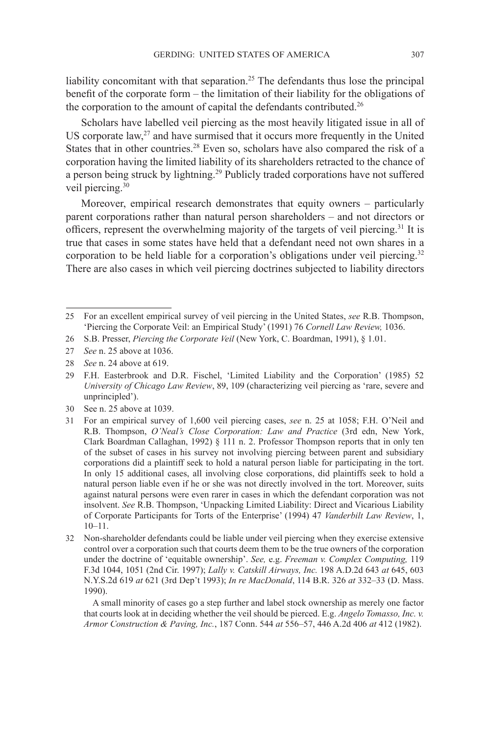liability concomitant with that separation.<sup>25</sup> The defendants thus lose the principal benefit of the corporate form – the limitation of their liability for the obligations of the corporation to the amount of capital the defendants contributed.26

Scholars have labelled veil piercing as the most heavily litigated issue in all of US corporate  $\text{law}^{\text{27}}$  and have surmised that it occurs more frequently in the United States that in other countries.<sup>28</sup> Even so, scholars have also compared the risk of a corporation having the limited liability of its shareholders retracted to the chance of a person being struck by lightning.<sup>29</sup> Publicly traded corporations have not suffered veil piercing.<sup>30</sup>

Moreover, empirical research demonstrates that equity owners – particularly parent corporations rather than natural person shareholders – and not directors or officers, represent the overwhelming majority of the targets of veil piercing.<sup>31</sup> It is true that cases in some states have held that a defendant need not own shares in a corporation to be held liable for a corporation's obligations under veil piercing.<sup>32</sup> There are also cases in which veil piercing doctrines subjected to liability directors

 A small minority of cases go a step further and label stock ownership as merely one factor that courts look at in deciding whether the veil should be pierced. E.g. *Angelo Tomasso, Inc. v. Armor Construction & Paving, Inc.*, 187 Conn. 544 *at* 556–57, 446 A.2d 406 *at* 412 (1982).

<sup>25</sup> For an excellent empirical survey of veil piercing in the United States, *see* R.B. Thompson, 'Piercing the Corporate Veil: an Empirical Study' (1991) 76 *Cornell Law Review,* 1036.

<sup>26</sup> S.B. Presser, *Piercing the Corporate Veil* (New York, C. Boardman, 1991), § 1.01.

<sup>27</sup> *See* n. 25 above at 1036.

<sup>28</sup> *See* n. 24 above at 619.

<sup>29</sup> F.H. Easterbrook and D.R. Fischel, 'Limited Liability and the Corporation' (1985) 52 *University of Chicago Law Review*, 89, 109 (characterizing veil piercing as 'rare, severe and unprincipled').

<sup>30</sup> See n. 25 above at 1039.

<sup>31</sup> For an empirical survey of 1,600 veil piercing cases, *see* n. 25 at 1058; F.H. O'Neil and R.B. Thompson, *O'Neal's Close Corporation: Law and Practice* (3rd edn, New York, Clark Boardman Callaghan, 1992) § 111 n. 2. Professor Thompson reports that in only ten of the subset of cases in his survey not involving piercing between parent and subsidiary corporations did a plaintiff seek to hold a natural person liable for participating in the tort. In only 15 additional cases, all involving close corporations, did plaintiffs seek to hold a natural person liable even if he or she was not directly involved in the tort. Moreover, suits against natural persons were even rarer in cases in which the defendant corporation was not insolvent. *See* R.B. Thompson, 'Unpacking Limited Liability: Direct and Vicarious Liability of Corporate Participants for Torts of the Enterprise' (1994) 47 *Vanderbilt Law Review*, 1, 10–11.

<sup>32</sup> Non-shareholder defendants could be liable under veil piercing when they exercise extensive control over a corporation such that courts deem them to be the true owners of the corporation under the doctrine of 'equitable ownership'. *See,* e.g. *Freeman v. Complex Computing,* 119 F.3d 1044, 1051 (2nd Cir. 1997); *Lally v. Catskill Airways, Inc.* 198 A.D.2d 643 *at* 645, 603 N.Y.S.2d 619 *at* 621 (3rd Dep't 1993); *In re MacDonald* , 114 B.R. 326 *at* 332–33 (D. Mass. 1990).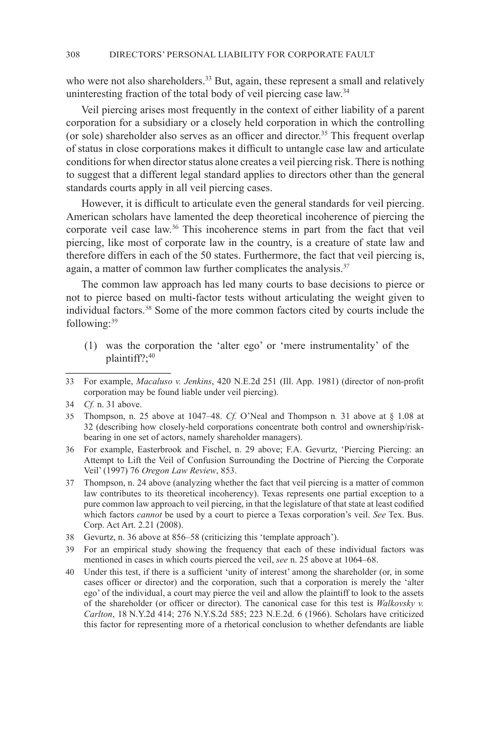who were not also shareholders.<sup>33</sup> But, again, these represent a small and relatively uninteresting fraction of the total body of veil piercing case law.<sup>34</sup>

Veil piercing arises most frequently in the context of either liability of a parent corporation for a subsidiary or a closely held corporation in which the controlling (or sole) shareholder also serves as an officer and director.<sup>35</sup> This frequent overlap of status in close corporations makes it difficult to untangle case law and articulate conditions for when director status alone creates a veil piercing risk. There is nothing to suggest that a different legal standard applies to directors other than the general standards courts apply in all veil piercing cases.

However, it is difficult to articulate even the general standards for veil piercing. American scholars have lamented the deep theoretical incoherence of piercing the corporate veil case law.<sup>36</sup> This incoherence stems in part from the fact that veil piercing, like most of corporate law in the country, is a creature of state law and therefore differs in each of the 50 states. Furthermore, the fact that veil piercing is, again, a matter of common law further complicates the analysis.<sup>37</sup>

The common law approach has led many courts to base decisions to pierce or not to pierce based on multi-factor tests without articulating the weight given to individual factors.<sup>38</sup> Some of the more common factors cited by courts include the following:<sup>39</sup>

(1) was the corporation the 'alter ego' or 'mere instrumentality' of the plaintiff?;40

<sup>33</sup> For example, *Macaluso v. Jenkins*, 420 N.E.2d 251 (Ill. App. 1981) (director of non-profi t corporation may be found liable under veil piercing).

<sup>34</sup> *Cf.* n. 31 above.

<sup>35</sup> Thompson, n. 25 above at 1047–48. *Cf.* O'Neal and Thompson n*.* 31 above at § 1.08 at 32 (describing how closely-held corporations concentrate both control and ownership/riskbearing in one set of actors, namely shareholder managers).

<sup>36</sup> For example, Easterbrook and Fischel, n. 29 above; F.A. Gevurtz, 'Piercing Piercing: an Attempt to Lift the Veil of Confusion Surrounding the Doctrine of Piercing the Corporate Veil' (1997) 76 *Oregon Law Review*, 853.

<sup>37</sup> Thompson, n. 24 above (analyzing whether the fact that veil piercing is a matter of common law contributes to its theoretical incoherency). Texas represents one partial exception to a pure common law approach to veil piercing, in that the legislature of that state at least codified which factors *cannot* be used by a court to pierce a Texas corporation's veil. *See* Tex. Bus. Corp. Act Art. 2.21 (2008).

<sup>38</sup> Gevurtz, n. 36 above at 856–58 (criticizing this 'template approach').

<sup>39</sup> For an empirical study showing the frequency that each of these individual factors was mentioned in cases in which courts pierced the veil, *see* n. 25 above at 1064–68.

<sup>40</sup> Under this test, if there is a sufficient 'unity of interest' among the shareholder (or, in some cases officer or director) and the corporation, such that a corporation is merely the 'alter ego' of the individual, a court may pierce the veil and allow the plaintiff to look to the assets of the shareholder (or officer or director). The canonical case for this test is *Walkovsky v. Carlton*, 18 N.Y.2d 414; 276 N.Y.S.2d 585; 223 N.E.2d. 6 (1966). Scholars have criticized this factor for representing more of a rhetorical conclusion to whether defendants are liable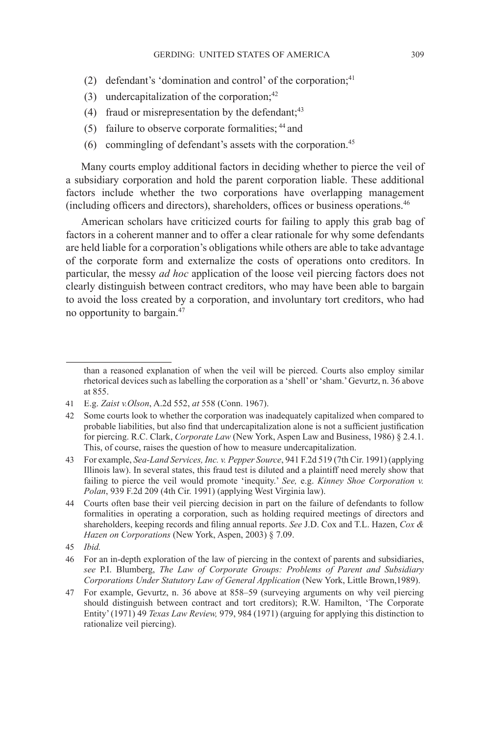- (2) defendant's 'domination and control' of the corporation; $41$
- (3) undercapitalization of the corporation;  $42$
- (4) fraud or misrepresentation by the defendant: $43$
- (5) failure to observe corporate formalities; 44 and
- (6) commingling of defendant's assets with the corporation.<sup>45</sup>

Many courts employ additional factors in deciding whether to pierce the veil of a subsidiary corporation and hold the parent corporation liable. These additional factors include whether the two corporations have overlapping management (including officers and directors), shareholders, offices or business operations. $46$ 

American scholars have criticized courts for failing to apply this grab bag of factors in a coherent manner and to offer a clear rationale for why some defendants are held liable for a corporation's obligations while others are able to take advantage of the corporate form and externalize the costs of operations onto creditors. In particular, the messy *ad hoc* application of the loose veil piercing factors does not clearly distinguish between contract creditors, who may have been able to bargain to avoid the loss created by a corporation, and involuntary tort creditors, who had no opportunity to bargain.47

than a reasoned explanation of when the veil will be pierced. Courts also employ similar rhetorical devices such as labelling the corporation as a 'shell' or 'sham.' Gevurtz, n. 36 above at 855.

<sup>41</sup> E.g. *Zaist v.Olson*, A.2d 552, *at* 558 (Conn. 1967).

<sup>42</sup> Some courts look to whether the corporation was inadequately capitalized when compared to probable liabilities, but also find that undercapitalization alone is not a sufficient justification for piercing. R.C. Clark, *Corporate Law* (New York, Aspen Law and Business, 1986) § 2.4.1. This, of course, raises the question of how to measure undercapitalization.

<sup>43</sup> For example, *Sea-Land Services, Inc. v. Pepper Source*, 941 F.2d 519 (7th Cir. 1991) (applying Illinois law). In several states, this fraud test is diluted and a plaintiff need merely show that failing to pierce the veil would promote 'inequity.' *See,* e.g. *Kinney Shoe Corporation v. Polan*, 939 F.2d 209 (4th Cir. 1991) (applying West Virginia law).

<sup>44</sup> Courts often base their veil piercing decision in part on the failure of defendants to follow formalities in operating a corporation, such as holding required meetings of directors and shareholders, keeping records and filing annual reports. *See* J.D. Cox and T.L. Hazen, *Cox & Hazen on Corporations* (New York, Aspen, 2003) § 7.09.

<sup>45</sup> *Ibid.*

<sup>46</sup> For an in-depth exploration of the law of piercing in the context of parents and subsidiaries, *see* P.I. Blumberg, *The Law of Corporate Groups: Problems of Parent and Subsidiary Corporations Under Statutory Law of General Application* (New York, Little Brown,1989).

<sup>47</sup> For example, Gevurtz, n. 36 above at 858–59 (surveying arguments on why veil piercing should distinguish between contract and tort creditors); R.W. Hamilton, 'The Corporate Entity' (1971) 49 *Texas Law Review,* 979, 984 (1971) (arguing for applying this distinction to rationalize veil piercing).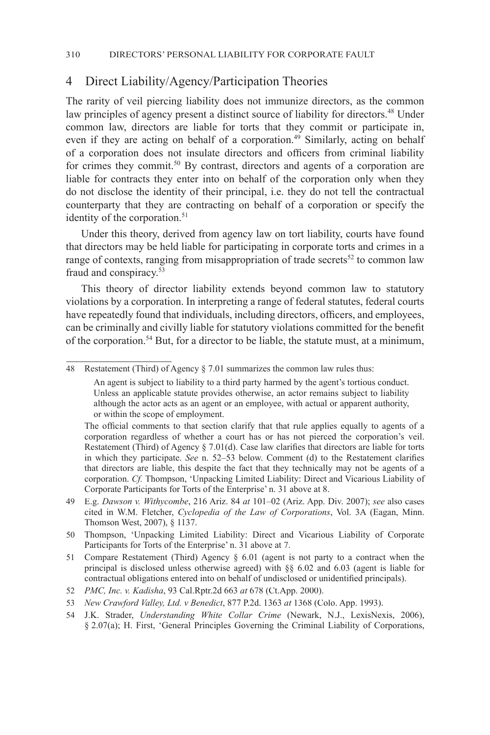#### 4 Direct Liability/Agency/Participation Theories

The rarity of veil piercing liability does not immunize directors, as the common law principles of agency present a distinct source of liability for directors.<sup>48</sup> Under common law, directors are liable for torts that they commit or participate in, even if they are acting on behalf of a corporation.<sup>49</sup> Similarly, acting on behalf of a corporation does not insulate directors and officers from criminal liability for crimes they commit.<sup>50</sup> By contrast, directors and agents of a corporation are liable for contracts they enter into on behalf of the corporation only when they do not disclose the identity of their principal, i.e. they do not tell the contractual counterparty that they are contracting on behalf of a corporation or specify the identity of the corporation.<sup>51</sup>

Under this theory, derived from agency law on tort liability, courts have found that directors may be held liable for participating in corporate torts and crimes in a range of contexts, ranging from misappropriation of trade secrets<sup>52</sup> to common law fraud and conspiracy.<sup>53</sup>

This theory of director liability extends beyond common law to statutory violations by a corporation. In interpreting a range of federal statutes, federal courts have repeatedly found that individuals, including directors, officers, and employees, can be criminally and civilly liable for statutory violations committed for the benefit of the corporation.54 But, for a director to be liable, the statute must, at a minimum,

49 E.g. *Dawson v. Withycombe*, 216 Ariz. 84 *at* 101–02 (Ariz. App. Div. 2007); *see* also cases cited in W.M. Fletcher, *Cyclopedia of the Law of Corporations*, Vol. 3A (Eagan, Minn. Thomson West, 2007), § 1137.

- 51 Compare Restatement (Third) Agency § 6.01 (agent is not party to a contract when the principal is disclosed unless otherwise agreed) with §§ 6.02 and 6.03 (agent is liable for contractual obligations entered into on behalf of undisclosed or unidentified principals).
- 52 *PMC, Inc. v. Kadisha*, 93 Cal.Rptr.2d 663 *at* 678 (Ct.App. 2000).

54 J.K. Strader, *Understanding White Collar Crime* (Newark, N.J., LexisNexis, 2006), § 2.07(a); H. First, 'General Principles Governing the Criminal Liability of Corporations,

<sup>48</sup> Restatement (Third) of Agency § 7.01 summarizes the common law rules thus:

An agent is subject to liability to a third party harmed by the agent's tortious conduct. Unless an applicable statute provides otherwise, an actor remains subject to liability although the actor acts as an agent or an employee, with actual or apparent authority, or within the scope of employment.

The official comments to that section clarify that that rule applies equally to agents of a corporation regardless of whether a court has or has not pierced the corporation's veil. Restatement (Third) of Agency  $\S 7.01(d)$ . Case law clarifies that directors are liable for torts in which they participate. *See* n.  $52-53$  below. Comment (d) to the Restatement clarifies that directors are liable, this despite the fact that they technically may not be agents of a corporation. *Cf.* Thompson, 'Unpacking Limited Liability: Direct and Vicarious Liability of Corporate Participants for Torts of the Enterprise' n. 31 above at 8.

<sup>50</sup> Thompson, 'Unpacking Limited Liability: Direct and Vicarious Liability of Corporate Participants for Torts of the Enterprise' n. 31 above at 7.

<sup>53</sup> *New Crawford Valley, Ltd. v Benedict*, 877 P.2d. 1363 *at* 1368 (Colo. App. 1993).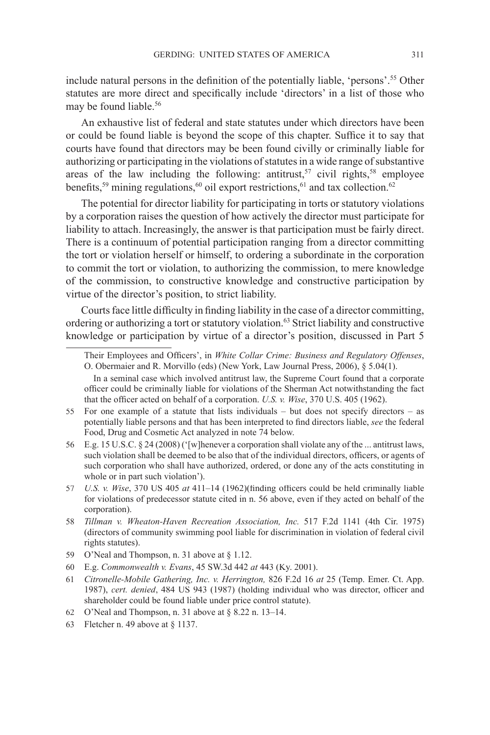include natural persons in the definition of the potentially liable, 'persons'.<sup>55</sup> Other statutes are more direct and specifically include 'directors' in a list of those who may be found liable.<sup>56</sup>

An exhaustive list of federal and state statutes under which directors have been or could be found liable is beyond the scope of this chapter. Suffice it to say that courts have found that directors may be been found civilly or criminally liable for authorizing or participating in the violations of statutes in a wide range of substantive areas of the law including the following: antitrust, $57$  civil rights, $58$  employee benefits,<sup>59</sup> mining regulations,<sup>60</sup> oil export restrictions,<sup>61</sup> and tax collection.<sup>62</sup>

The potential for director liability for participating in torts or statutory violations by a corporation raises the question of how actively the director must participate for liability to attach. Increasingly, the answer is that participation must be fairly direct. There is a continuum of potential participation ranging from a director committing the tort or violation herself or himself, to ordering a subordinate in the corporation to commit the tort or violation, to authorizing the commission, to mere knowledge of the commission, to constructive knowledge and constructive participation by virtue of the director's position, to strict liability.

Courts face little difficulty in finding liability in the case of a director committing, ordering or authorizing a tort or statutory violation.63 Strict liability and constructive knowledge or participation by virtue of a director's position, discussed in Part 5

60 E.g. *Commonwealth v. Evans*, 45 SW.3d 442 *at* 443 (Ky. 2001).

62 O'Neal and Thompson, n. 31 above at § 8.22 n. 13–14.

Their Employees and Officers', in *White Collar Crime: Business and Regulatory Offenses*, O. Obermaier and R. Morvillo (eds) (New York, Law Journal Press, 2006), § 5.04(1).

In a seminal case which involved antitrust law, the Supreme Court found that a corporate officer could be criminally liable for violations of the Sherman Act notwithstanding the fact that the officer acted on behalf of a corporation. *U.S. v. Wise*, 370 U.S. 405 (1962).

<sup>55</sup> For one example of a statute that lists individuals – but does not specify directors – as potentially liable persons and that has been interpreted to find directors liable, see the federal Food, Drug and Cosmetic Act analyzed in note 74 below.

<sup>56</sup> E.g. 15 U.S.C. § 24 (2008) ('[w]henever a corporation shall violate any of the ... antitrust laws, such violation shall be deemed to be also that of the individual directors, officers, or agents of such corporation who shall have authorized, ordered, or done any of the acts constituting in whole or in part such violation').

<sup>57</sup> *U.S. v. Wise*, 370 US 405 *at* 411–14 (1962)(finding officers could be held criminally liable for violations of predecessor statute cited in n. 56 above, even if they acted on behalf of the corporation).

<sup>58</sup> *Tillman v. Wheaton-Haven Recreation Association, Inc.* 517 F.2d 1141 (4th Cir. 1975) (directors of community swimming pool liable for discrimination in violation of federal civil rights statutes).

<sup>59</sup> O'Neal and Thompson, n. 31 above at § 1.12.

<sup>61</sup> *Citronelle-Mobile Gathering, Inc. v. Herrington,* 826 F.2d 16 *at* 25 (Temp. Emer. Ct. App. 1987), *cert. denied*, 484 US 943 (1987) (holding individual who was director, officer and shareholder could be found liable under price control statute).

<sup>63</sup> Fletcher n. 49 above at § 1137.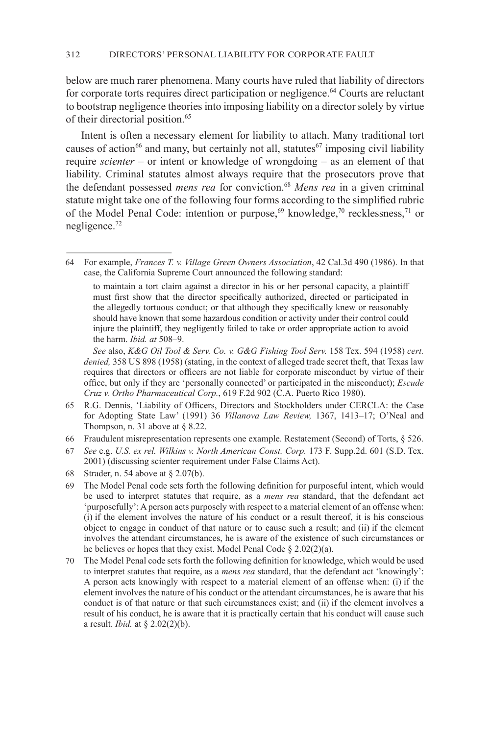below are much rarer phenomena. Many courts have ruled that liability of directors for corporate torts requires direct participation or negligence.<sup>64</sup> Courts are reluctant to bootstrap negligence theories into imposing liability on a director solely by virtue of their directorial position.<sup>65</sup>

Intent is often a necessary element for liability to attach. Many traditional tort causes of action<sup>66</sup> and many, but certainly not all, statutes<sup>67</sup> imposing civil liability require *scienter* – or intent or knowledge of wrongdoing – as an element of that liability. Criminal statutes almost always require that the prosecutors prove that the defendant possessed *mens rea* for conviction.<sup>68</sup> Mens rea in a given criminal statute might take one of the following four forms according to the simplified rubric of the Model Penal Code: intention or purpose,<sup>69</sup> knowledge,<sup>70</sup> recklessness,<sup>71</sup> or negligence.72

- 66 Fraudulent misrepresentation represents one example. Restatement (Second) of Torts, § 526.
- 67 *See* e.g. *U.S. ex rel. Wilkins v. North American Const. Corp.* 173 F. Supp.2d. 601 (S.D. Tex. 2001) (discussing scienter requirement under False Claims Act).
- 68 Strader, n. 54 above at § 2.07(b).
- 69 The Model Penal code sets forth the following definition for purposeful intent, which would be used to interpret statutes that require, as a *mens rea* standard, that the defendant act 'purposefully': A person acts purposely with respect to a material element of an offense when: (i) if the element involves the nature of his conduct or a result thereof, it is his conscious object to engage in conduct of that nature or to cause such a result; and (ii) if the element involves the attendant circumstances, he is aware of the existence of such circumstances or he believes or hopes that they exist. Model Penal Code § 2.02(2)(a).
- 70 The Model Penal code sets forth the following definition for knowledge, which would be used to interpret statutes that require, as a *mens rea* standard, that the defendant act 'knowingly': A person acts knowingly with respect to a material element of an offense when: (i) if the element involves the nature of his conduct or the attendant circumstances, he is aware that his conduct is of that nature or that such circumstances exist; and (ii) if the element involves a result of his conduct, he is aware that it is practically certain that his conduct will cause such a result. *Ibid.* at § 2.02(2)(b).

<sup>64</sup> For example, *Frances T. v. Village Green Owners Association*, 42 Cal.3d 490 (1986). In that case, the California Supreme Court announced the following standard:

to maintain a tort claim against a director in his or her personal capacity, a plaintiff must first show that the director specifically authorized, directed or participated in the allegedly tortuous conduct; or that although they specifically knew or reasonably should have known that some hazardous condition or activity under their control could injure the plaintiff, they negligently failed to take or order appropriate action to avoid the harm. *Ibid. at* 508–9.

*See* also, *K&G Oil Tool & Serv. Co. v. G&G Fishing Tool Serv.* 158 Tex. 594 (1958) *cert. denied,* 358 US 898 (1958) (stating, in the context of alleged trade secret theft, that Texas law requires that directors or officers are not liable for corporate misconduct by virtue of their office, but only if they are 'personally connected' or participated in the misconduct); *Escude Cruz v. Ortho Pharmaceutical Corp.*, 619 F.2d 902 (C.A. Puerto Rico 1980).

<sup>65</sup> R.G. Dennis, 'Liability of Officers, Directors and Stockholders under CERCLA: the Case for Adopting State Law' (1991) 36 *Villanova Law Review,* 1367, 1413–17; O'Neal and Thompson, n. 31 above at § 8.22.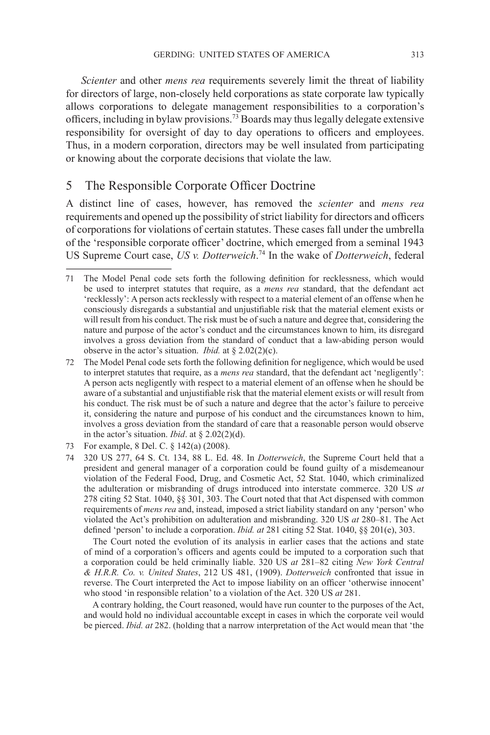*Scienter* and other *mens rea* requirements severely limit the threat of liability for directors of large, non-closely held corporations as state corporate law typically allows corporations to delegate management responsibilities to a corporation's officers, including in bylaw provisions.<sup>73</sup> Boards may thus legally delegate extensive responsibility for oversight of day to day operations to officers and employees. Thus, in a modern corporation, directors may be well insulated from participating or knowing about the corporate decisions that violate the law.

#### 5 The Responsible Corporate Officer Doctrine

A distinct line of cases, however, has removed the *scienter* and *mens rea*  requirements and opened up the possibility of strict liability for directors and officers of corporations for violations of certain statutes. These cases fall under the umbrella of the 'responsible corporate officer' doctrine, which emerged from a seminal 1943 US Supreme Court case, *US v. Dotterweich*. 74 In the wake of *Dotterweich*, federal

 The Court noted the evolution of its analysis in earlier cases that the actions and state of mind of a corporation's officers and agents could be imputed to a corporation such that a corporation could be held criminally liable. 320 US *at* 281–82 citing *New York Central & H.R.R. Co. v. United States*, 212 US 481, (1909). *Dotterweich* confronted that issue in reverse. The Court interpreted the Act to impose liability on an officer 'otherwise innocent' who stood 'in responsible relation' to a violation of the Act. 320 US *at* 281.

 A contrary holding, the Court reasoned, would have run counter to the purposes of the Act, and would hold no individual accountable except in cases in which the corporate veil would be pierced. *Ibid. at* 282. (holding that a narrow interpretation of the Act would mean that 'the

<sup>71</sup> The Model Penal code sets forth the following definition for recklessness, which would be used to interpret statutes that require, as a *mens rea* standard, that the defendant act 'recklessly': A person acts recklessly with respect to a material element of an offense when he consciously disregards a substantial and unjustifiable risk that the material element exists or will result from his conduct. The risk must be of such a nature and degree that, considering the nature and purpose of the actor's conduct and the circumstances known to him, its disregard involves a gross deviation from the standard of conduct that a law-abiding person would observe in the actor's situation. *Ibid.* at § 2.02(2)(c).

<sup>72</sup> The Model Penal code sets forth the following definition for negligence, which would be used to interpret statutes that require, as a *mens rea* standard, that the defendant act 'negligently': A person acts negligently with respect to a material element of an offense when he should be aware of a substantial and unjustifiable risk that the material element exists or will result from his conduct. The risk must be of such a nature and degree that the actor's failure to perceive it, considering the nature and purpose of his conduct and the circumstances known to him, involves a gross deviation from the standard of care that a reasonable person would observe in the actor's situation. *Ibid*. at § 2.02(2)(d).

<sup>73</sup> For example, 8 Del. C. § 142(a) (2008).

<sup>74 320</sup> US 277, 64 S. Ct. 134, 88 L. Ed. 48. In *Dotterweich*, the Supreme Court held that a president and general manager of a corporation could be found guilty of a misdemeanour violation of the Federal Food, Drug, and Cosmetic Act, 52 Stat. 1040, which criminalized the adulteration or misbranding of drugs introduced into interstate commerce. 320 US *at*  278 citing 52 Stat. 1040, §§ 301, 303. The Court noted that that Act dispensed with common requirements of *mens rea* and, instead, imposed a strict liability standard on any 'person' who violated the Act's prohibition on adulteration and misbranding. 320 US *at* 280–81. The Act defined 'person' to include a corporation. *Ibid. at* 281 citing 52 Stat. 1040, §§ 201(e), 303.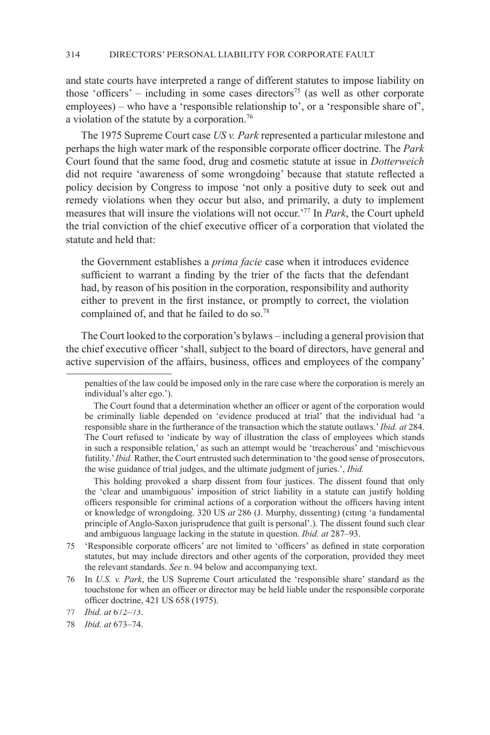and state courts have interpreted a range of different statutes to impose liability on those 'officers' – including in some cases directors<sup>75</sup> (as well as other corporate employees) – who have a 'responsible relationship to', or a 'responsible share of', a violation of the statute by a corporation.<sup>76</sup>

The 1975 Supreme Court case *US v. Park* represented a particular milestone and perhaps the high water mark of the responsible corporate officer doctrine. The *Park* Court found that the same food, drug and cosmetic statute at issue in *Dotterweich* did not require 'awareness of some wrongdoing' because that statute reflected a policy decision by Congress to impose 'not only a positive duty to seek out and remedy violations when they occur but also, and primarily, a duty to implement measures that will insure the violations will not occur.'77 In *Park*, the Court upheld the trial conviction of the chief executive officer of a corporation that violated the statute and held that:

the Government establishes a *prima facie* case when it introduces evidence sufficient to warrant a finding by the trier of the facts that the defendant had, by reason of his position in the corporation, responsibility and authority either to prevent in the first instance, or promptly to correct, the violation complained of, and that he failed to do so.78

The Court looked to the corporation's bylaws – including a general provision that the chief executive officer 'shall, subject to the board of directors, have general and active supervision of the affairs, business, offices and employees of the company'

 This holding provoked a sharp dissent from four justices. The dissent found that only the 'clear and unambiguous' imposition of strict liability in a statute can justify holding officers responsible for criminal actions of a corporation without the officers having intent or knowledge of wrongdoing. 320 US *at* 286 (J. Murphy, dissenting) (citing 'a fundamental principle of Anglo-Saxon jurisprudence that guilt is personal'.). The dissent found such clear and ambiguous language lacking in the statute in question. *Ibid. at* 287–93.

75 'Responsible corporate officers' are not limited to 'officers' as defined in state corporation statutes, but may include directors and other agents of the corporation, provided they meet the relevant standards. *See* n. 94 below and accompanying text.

penalties of the law could be imposed only in the rare case where the corporation is merely an individual's alter ego.').

The Court found that a determination whether an officer or agent of the corporation would be criminally liable depended on 'evidence produced at trial' that the individual had 'a responsible share in the furtherance of the transaction which the statute outlaws.' *Ibid. at* 284. The Court refused to 'indicate by way of illustration the class of employees which stands in such a responsible relation,' as such an attempt would be 'treacherous' and 'mischievous futility.' *Ibid.* Rather, the Court entrusted such determination to 'the good sense of prosecutors, the wise guidance of trial judges, and the ultimate judgment of juries.', *Ibid.* 

<sup>76</sup> In *U.S. v. Park*, the US Supreme Court articulated the 'responsible share' standard as the touchstone for when an officer or director may be held liable under the responsible corporate officer doctrine, 421 US 658 (1975).

<sup>77</sup> *Ibid. at* 672–73.

<sup>78</sup> *Ibid. at* 673–74.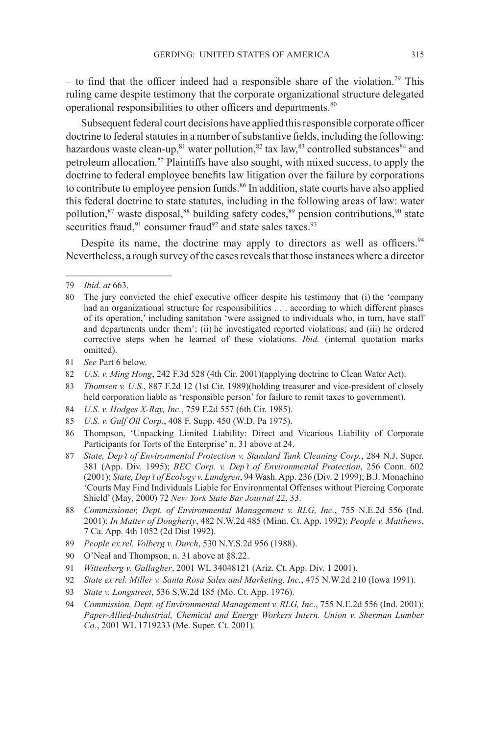– to find that the officer indeed had a responsible share of the violation.<sup>79</sup> This ruling came despite testimony that the corporate organizational structure delegated operational responsibilities to other officers and departments.<sup>80</sup>

Subsequent federal court decisions have applied this responsible corporate officer doctrine to federal statutes in a number of substantive fields, including the following: hazardous waste clean-up,  $81$  water pollution,  $82$  tax law,  $83$  controlled substances  $84$  and petroleum allocation.85 Plaintiffs have also sought, with mixed success, to apply the doctrine to federal employee benefits law litigation over the failure by corporations to contribute to employee pension funds.<sup>86</sup> In addition, state courts have also applied this federal doctrine to state statutes, including in the following areas of law: water pollution, $87$  waste disposal, $88$  building safety codes, $89$  pension contributions,  $90$  state securities fraud, $91$  consumer fraud $92$  and state sales taxes. $93$ 

Despite its name, the doctrine may apply to directors as well as officers.<sup>94</sup> Nevertheless, a rough survey of the cases reveals that those instances where a director

- 81 *See* Part 6 below.
- 82 *U.S. v. Ming Hong*, 242 F.3d 528 (4th Cir. 2001)(applying doctrine to Clean Water Act).
- 83 *Thomsen v. U.S.*, 887 F.2d 12 (1st Cir. 1989)(holding treasurer and vice-president of closely held corporation liable as 'responsible person' for failure to remit taxes to government).
- 84 *U.S. v. Hodges X-Ray, Inc.*, 759 F.2d 557 (6th Cir. 1985).
- 85 *U.S. v. Gulf Oil Corp.*, 408 F. Supp. 450 (W.D. Pa 1975).
- 86 Thompson, 'Unpacking Limited Liability: Direct and Vicarious Liability of Corporate Participants for Torts of the Enterprise' n. 31 above at 24.
- 87 *State, Dep't of Environmental Protection v. Standard Tank Cleaning Corp.*, 284 N.J. Super. 381 (App. Div. 1995); *BEC Corp. v. Dep't of Environmental Protection*, 256 Conn. 602 (2001); *State, Dep't of Ecology v. Lundgren*, 94 Wash. App. 236 (Div. 2 1999); B.J. Monachino 'Courts May Find Individuals Liable for Environmental Offenses without Piercing Corporate Shield' (May, 2000) 72 *New York State Bar Journal* 22, 33.
- 88 *Commissioner, Dept. of Environmental Management v. RLG, Inc.*, 755 N.E.2d 556 (Ind. 2001); *In Matter of Dougherty*, 482 N.W.2d 485 (Minn. Ct. App. 1992); *People v. Matthews*, 7 Ca. App. 4th 1052 (2d Dist 1992).
- 89 *People ex rel. Volberg v. Durch*, 530 N.Y.S.2d 956 (1988).
- 90 O'Neal and Thompson, n. 31 above at §8.22.
- 91 *Wittenberg v. Gallagher*, 2001 WL 34048121 (Ariz. Ct. App. Div. 1 2001).
- 92 *State ex rel. Miller v. Santa Rosa Sales and Marketing, Inc.*, 475 N.W.2d 210 (Iowa 1991).
- 93 *State v. Longstreet*, 536 S.W.2d 185 (Mo. Ct. App. 1976).
- 94 *Commission, Dept. of Environmental Management v. RLG, Inc*., 755 N.E.2d 556 (Ind. 2001); *Paper-Allied-Industrial, Chemical and Energy Workers Intern. Union v. Sherman Lumber Co.*, 2001 WL 1719233 (Me. Super. Ct. 2001).

<sup>79</sup> *Ibid. at* 663.

<sup>80</sup> The jury convicted the chief executive officer despite his testimony that (i) the 'company had an organizational structure for responsibilities . . . according to which different phases of its operation,' including sanitation 'were assigned to individuals who, in turn, have staff and departments under them'; (ii) he investigated reported violations; and (iii) he ordered corrective steps when he learned of these violations. *Ibid.* (internal quotation marks omitted).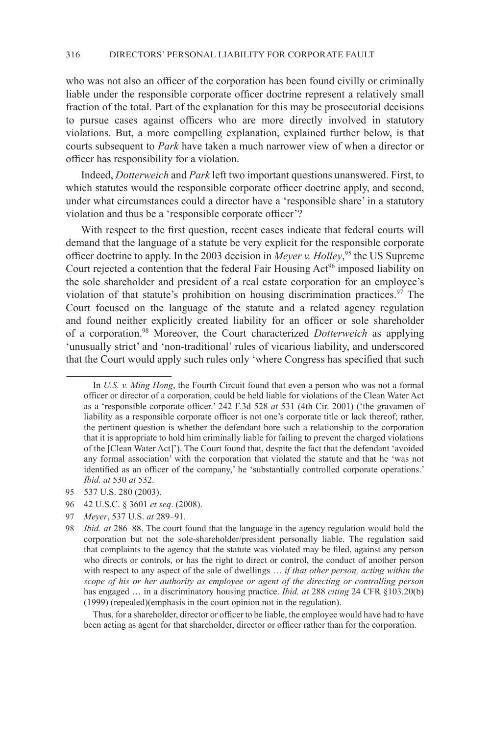who was not also an officer of the corporation has been found civilly or criminally liable under the responsible corporate officer doctrine represent a relatively small fraction of the total. Part of the explanation for this may be prosecutorial decisions to pursue cases against officers who are more directly involved in statutory violations. But, a more compelling explanation, explained further below, is that courts subsequent to *Park* have taken a much narrower view of when a director or officer has responsibility for a violation.

Indeed, *Dotterweich* and *Park* left two important questions unanswered. First, to which statutes would the responsible corporate officer doctrine apply, and second, under what circumstances could a director have a 'responsible share' in a statutory violation and thus be a 'responsible corporate officer'?

With respect to the first question, recent cases indicate that federal courts will demand that the language of a statute be very explicit for the responsible corporate officer doctrine to apply. In the 2003 decision in *Meyer v. Holley*,<sup>95</sup> the US Supreme Court rejected a contention that the federal Fair Housing Act<sup>96</sup> imposed liability on the sole shareholder and president of a real estate corporation for an employee's violation of that statute's prohibition on housing discrimination practices.<sup>97</sup> The Court focused on the language of the statute and a related agency regulation and found neither explicitly created liability for an officer or sole shareholder of a corporation.98 Moreover, the Court characterized *Dotterweich* as applying 'unusually strict' and 'non-traditional' rules of vicarious liability, and underscored that the Court would apply such rules only 'where Congress has specified that such

- 96 42 U.S.C. § 3601 *et seq*. (2008).
- 97 *Meyer*, 537 U.S. *at* 289–91.

Thus, for a shareholder, director or officer to be liable, the employee would have had to have been acting as agent for that shareholder, director or officer rather than for the corporation.

In *U.S. v. Ming Hong*, the Fourth Circuit found that even a person who was not a formal officer or director of a corporation, could be held liable for violations of the Clean Water Act as a 'responsible corporate officer.' 242 F.3d 528 *at* 531 (4th Cir. 2001) ('the gravamen of liability as a responsible corporate officer is not one's corporate title or lack thereof; rather, the pertinent question is whether the defendant bore such a relationship to the corporation that it is appropriate to hold him criminally liable for failing to prevent the charged violations of the [Clean Water Act]'). The Court found that, despite the fact that the defendant 'avoided any formal association' with the corporation that violated the statute and that he 'was not identified as an officer of the company,' he 'substantially controlled corporate operations.' *Ibid. at* 530 *at* 532.

<sup>95 537</sup> U.S. 280 (2003).

<sup>98</sup> *Ibid. at* 286–88. The court found that the language in the agency regulation would hold the corporation but not the sole-shareholder/president personally liable. The regulation said that complaints to the agency that the statute was violated may be filed, against any person who directs or controls, or has the right to direct or control, the conduct of another person with respect to any aspect of the sale of dwellings … *if that other person, acting within the scope of his or her authority as employee or agent of the directing or controlling person*  has engaged … in a discriminatory housing practice. *Ibid. at* 288 *citing* 24 CFR §103.20(b) (1999) (repealed)(emphasis in the court opinion not in the regulation).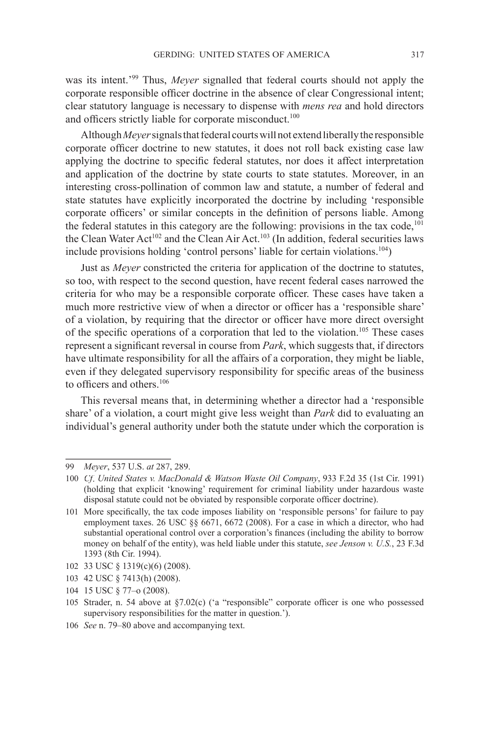was its intent.'99 Thus, *Meyer* signalled that federal courts should not apply the corporate responsible officer doctrine in the absence of clear Congressional intent; clear statutory language is necessary to dispense with *mens rea* and hold directors and officers strictly liable for corporate misconduct.<sup>100</sup>

Although *Meyer* signals that federal courts will not extend liberally the responsible corporate officer doctrine to new statutes, it does not roll back existing case law applying the doctrine to specific federal statutes, nor does it affect interpretation and application of the doctrine by state courts to state statutes. Moreover, in an interesting cross-pollination of common law and statute, a number of federal and state statutes have explicitly incorporated the doctrine by including 'responsible corporate officers' or similar concepts in the definition of persons liable. Among the federal statutes in this category are the following: provisions in the tax code, $101$ the Clean Water  $Act^{102}$  and the Clean Air Act.<sup>103</sup> (In addition, federal securities laws include provisions holding 'control persons' liable for certain violations.104)

Just as *Meyer* constricted the criteria for application of the doctrine to statutes, so too, with respect to the second question, have recent federal cases narrowed the criteria for who may be a responsible corporate officer. These cases have taken a much more restrictive view of when a director or officer has a 'responsible share' of a violation, by requiring that the director or officer have more direct oversight of the specific operations of a corporation that led to the violation.<sup>105</sup> These cases represent a significant reversal in course from *Park*, which suggests that, if directors have ultimate responsibility for all the affairs of a corporation, they might be liable, even if they delegated supervisory responsibility for specific areas of the business to officers and others. $106$ 

This reversal means that, in determining whether a director had a 'responsible share' of a violation, a court might give less weight than *Park* did to evaluating an individual's general authority under both the statute under which the corporation is

102 33 USC § 1319(c)(6) (2008).

104 15 USC § 77–o (2008).

<sup>99</sup> *Meyer*, 537 U.S. *at* 287, 289.

<sup>100</sup> *Cf*. *United States v. MacDonald & Watson Waste Oil Company*, 933 F.2d 35 (1st Cir. 1991) (holding that explicit 'knowing' requirement for criminal liability under hazardous waste disposal statute could not be obviated by responsible corporate officer doctrine).

<sup>101</sup> More specifically, the tax code imposes liability on 'responsible persons' for failure to pay employment taxes. 26 USC §§ 6671, 6672 (2008). For a case in which a director, who had substantial operational control over a corporation's finances (including the ability to borrow money on behalf of the entity), was held liable under this statute, *see Jenson v. U.S.*, 23 F.3d 1393 (8th Cir. 1994).

<sup>103 42</sup> USC § 7413(h) (2008).

<sup>105</sup> Strader, n. 54 above at  $\S7.02(c)$  ('a "responsible" corporate officer is one who possessed supervisory responsibilities for the matter in question.').

<sup>106</sup> *See* n. 79–80 above and accompanying text.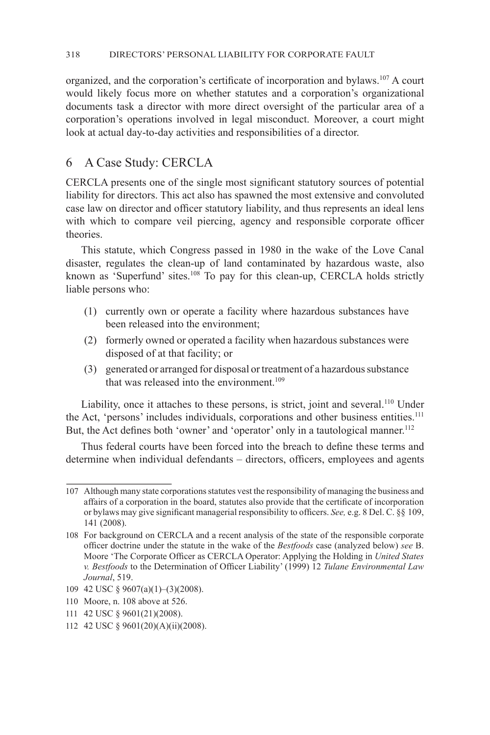organized, and the corporation's certificate of incorporation and bylaws.<sup>107</sup> A court would likely focus more on whether statutes and a corporation's organizational documents task a director with more direct oversight of the particular area of a corporation's operations involved in legal misconduct. Moreover, a court might look at actual day-to-day activities and responsibilities of a director.

#### 6 A Case Study: CERCLA

CERCLA presents one of the single most significant statutory sources of potential liability for directors. This act also has spawned the most extensive and convoluted case law on director and officer statutory liability, and thus represents an ideal lens with which to compare veil piercing, agency and responsible corporate officer theories.

This statute, which Congress passed in 1980 in the wake of the Love Canal disaster, regulates the clean-up of land contaminated by hazardous waste, also known as 'Superfund' sites.<sup>108</sup> To pay for this clean-up, CERCLA holds strictly liable persons who:

- (1) currently own or operate a facility where hazardous substances have been released into the environment;
- (2) formerly owned or operated a facility when hazardous substances were disposed of at that facility; or
- (3) generated or arranged for disposal or treatment of a hazardous substance that was released into the environment.<sup>109</sup>

Liability, once it attaches to these persons, is strict, joint and several.<sup>110</sup> Under the Act, 'persons' includes individuals, corporations and other business entities.<sup>111</sup> But, the Act defines both 'owner' and 'operator' only in a tautological manner.<sup>112</sup>

Thus federal courts have been forced into the breach to define these terms and determine when individual defendants – directors, officers, employees and agents

<sup>107</sup> Although many state corporations statutes vest the responsibility of managing the business and affairs of a corporation in the board, statutes also provide that the certificate of incorporation or bylaws may give significant managerial responsibility to officers. *See*, e.g. 8 Del. C. §§ 109, 141 (2008).

<sup>108</sup> For background on CERCLA and a recent analysis of the state of the responsible corporate officer doctrine under the statute in the wake of the *Bestfoods* case (analyzed below) *see* B. Moore 'The Corporate Officer as CERCLA Operator: Applying the Holding in *United States v. Bestfoods* to the Determination of Officer Liability' (1999) 12 *Tulane Environmental Law Journal*, 519.

<sup>109 42</sup> USC § 9607(a)(1)–(3)(2008).

<sup>110</sup> Moore, n. 108 above at 526.

<sup>111 42</sup> USC § 9601(21)(2008).

<sup>112 42</sup> USC § 9601(20)(A)(ii)(2008).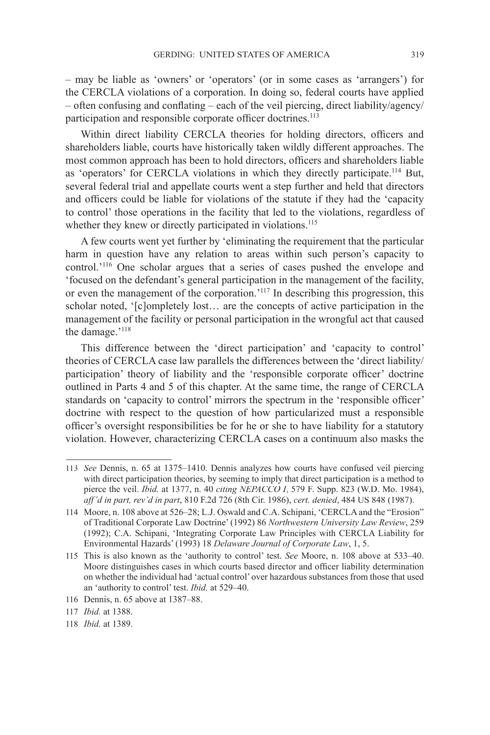– may be liable as 'owners' or 'operators' (or in some cases as 'arrangers') for the CERCLA violations of a corporation. In doing so, federal courts have applied  $-$  often confusing and conflating – each of the veil piercing, direct liability/agency/ participation and responsible corporate officer doctrines.<sup>113</sup>

Within direct liability CERCLA theories for holding directors, officers and shareholders liable, courts have historically taken wildly different approaches. The most common approach has been to hold directors, officers and shareholders liable as 'operators' for CERCLA violations in which they directly participate.114 But, several federal trial and appellate courts went a step further and held that directors and officers could be liable for violations of the statute if they had the 'capacity to control' those operations in the facility that led to the violations, regardless of whether they knew or directly participated in violations.<sup>115</sup>

A few courts went yet further by 'eliminating the requirement that the particular harm in question have any relation to areas within such person's capacity to control.'116 One scholar argues that a series of cases pushed the envelope and 'focused on the defendant's general participation in the management of the facility, or even the management of the corporation.'117 In describing this progression, this scholar noted, '[c]ompletely lost… are the concepts of active participation in the management of the facility or personal participation in the wrongful act that caused the damage.'118

This difference between the 'direct participation' and 'capacity to control' theories of CERCLA case law parallels the differences between the 'direct liability/ participation' theory of liability and the 'responsible corporate officer' doctrine outlined in Parts 4 and 5 of this chapter. At the same time, the range of CERCLA standards on 'capacity to control' mirrors the spectrum in the 'responsible officer' doctrine with respect to the question of how particularized must a responsible officer's oversight responsibilities be for he or she to have liability for a statutory violation. However, characterizing CERCLA cases on a continuum also masks the

<sup>113</sup> *See* Dennis, n. 65 at 1375–1410. Dennis analyzes how courts have confused veil piercing with direct participation theories, by seeming to imply that direct participation is a method to pierce the veil. *Ibid.* at 1377, n. 40 *citing NEPACCO I* , 579 F. Supp. 823 (W.D. Mo. 1984), *aff'd in part, rev'd in part*, 810 F.2d 726 (8th Cir. 1986), *cert. denied*, 484 US 848 (1987).

<sup>114</sup> Moore, n. 108 above at 526–28; L.J. Oswald and C.A. Schipani, 'CERCLA and the "Erosion" of Traditional Corporate Law Doctrine' (1992) 86 *Northwestern University Law Review*, 259 (1992); C.A. Schipani, 'Integrating Corporate Law Principles with CERCLA Liability for Environmental Hazards' (1993) 18 *Delaware Journal of Corporate Law*, 1, 5.

<sup>115</sup> This is also known as the 'authority to control' test. *See* Moore, n. 108 above at 533–40. Moore distinguishes cases in which courts based director and officer liability determination on whether the individual had 'actual control' over hazardous substances from those that used an 'authority to control' test. *Ibid.* at 529–40.

<sup>116</sup> Dennis, n. 65 above at 1387–88.

<sup>117</sup> *Ibid.* at 1388.

<sup>118</sup> *Ibid.* at 1389.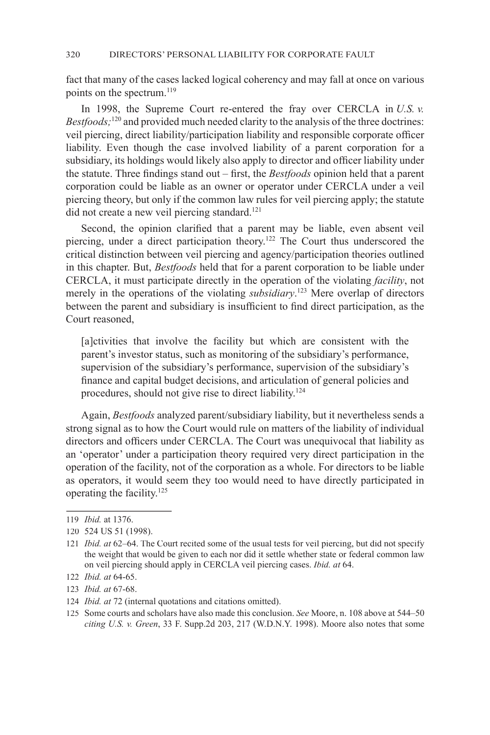fact that many of the cases lacked logical coherency and may fall at once on various points on the spectrum.<sup>119</sup>

In 1998, the Supreme Court re-entered the fray over CERCLA in *U.S. v. Bestfoods;*120 and provided much needed clarity to the analysis of the three doctrines: veil piercing, direct liability/participation liability and responsible corporate officer liability. Even though the case involved liability of a parent corporation for a subsidiary, its holdings would likely also apply to director and officer liability under the statute. Three findings stand out – first, the *Bestfoods* opinion held that a parent corporation could be liable as an owner or operator under CERCLA under a veil piercing theory, but only if the common law rules for veil piercing apply; the statute did not create a new veil piercing standard.<sup>121</sup>

Second, the opinion clarified that a parent may be liable, even absent veil piercing, under a direct participation theory.122 The Court thus underscored the critical distinction between veil piercing and agency/participation theories outlined in this chapter. But, *Bestfoods* held that for a parent corporation to be liable under CERCLA, it must participate directly in the operation of the violating *facility*, not merely in the operations of the violating *subsidiary*. 123 Mere overlap of directors between the parent and subsidiary is insufficient to find direct participation, as the Court reasoned,

[a]ctivities that involve the facility but which are consistent with the parent's investor status, such as monitoring of the subsidiary's performance, supervision of the subsidiary's performance, supervision of the subsidiary's finance and capital budget decisions, and articulation of general policies and procedures, should not give rise to direct liability.124

Again, *Bestfoods* analyzed parent/subsidiary liability, but it nevertheless sends a strong signal as to how the Court would rule on matters of the liability of individual directors and officers under CERCLA. The Court was unequivocal that liability as an 'operator' under a participation theory required very direct participation in the operation of the facility, not of the corporation as a whole. For directors to be liable as operators, it would seem they too would need to have directly participated in operating the facility.125

<sup>119</sup> *Ibid.* at 1376.

<sup>120 524</sup> US 51 (1998).

<sup>121</sup> *Ibid. at* 62–64. The Court recited some of the usual tests for veil piercing, but did not specify the weight that would be given to each nor did it settle whether state or federal common law on veil piercing should apply in CERCLA veil piercing cases. *Ibid. at* 64.

<sup>122</sup> *Ibid. at* 64-65.

<sup>123</sup> *Ibid. at* 67-68.

<sup>124</sup> *Ibid. at* 72 (internal quotations and citations omitted).

<sup>125</sup> Some courts and scholars have also made this conclusion. *See* Moore, n. 108 above at 544–50 *citing U.S. v. Green*, 33 F. Supp.2d 203, 217 (W.D.N.Y. 1998). Moore also notes that some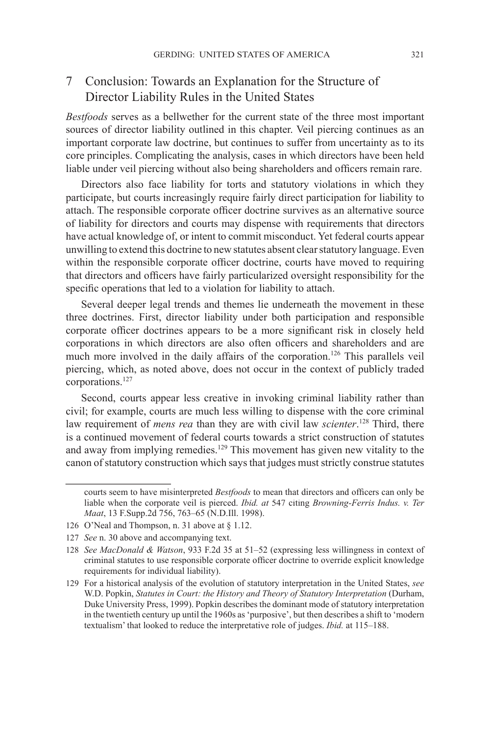#### 7 Conclusion: Towards an Explanation for the Structure of Director Liability Rules in the United States

*Bestfoods* serves as a bellwether for the current state of the three most important sources of director liability outlined in this chapter. Veil piercing continues as an important corporate law doctrine, but continues to suffer from uncertainty as to its core principles. Complicating the analysis, cases in which directors have been held liable under veil piercing without also being shareholders and officers remain rare.

Directors also face liability for torts and statutory violations in which they participate, but courts increasingly require fairly direct participation for liability to attach. The responsible corporate officer doctrine survives as an alternative source of liability for directors and courts may dispense with requirements that directors have actual knowledge of, or intent to commit misconduct. Yet federal courts appear unwilling to extend this doctrine to new statutes absent clear statutory language. Even within the responsible corporate officer doctrine, courts have moved to requiring that directors and officers have fairly particularized oversight responsibility for the specific operations that led to a violation for liability to attach.

Several deeper legal trends and themes lie underneath the movement in these three doctrines. First, director liability under both participation and responsible corporate officer doctrines appears to be a more significant risk in closely held corporations in which directors are also often officers and shareholders and are much more involved in the daily affairs of the corporation.<sup>126</sup> This parallels veil piercing, which, as noted above, does not occur in the context of publicly traded corporations.127

Second, courts appear less creative in invoking criminal liability rather than civil; for example, courts are much less willing to dispense with the core criminal law requirement of *mens rea* than they are with civil law *scienter*. 128 Third, there is a continued movement of federal courts towards a strict construction of statutes and away from implying remedies.129 This movement has given new vitality to the canon of statutory construction which says that judges must strictly construe statutes

courts seem to have misinterpreted *Bestfoods* to mean that directors and officers can only be liable when the corporate veil is pierced. *Ibid. at* 547 citing *Browning-Ferris Indus. v. Ter Maat*, 13 F.Supp.2d 756, 763–65 (N.D.Ill. 1998).

<sup>126</sup> O'Neal and Thompson, n. 31 above at § 1.12.

<sup>127</sup> *See* n. 30 above and accompanying text.

<sup>128</sup> *See MacDonald & Watson*, 933 F.2d 35 at 51–52 (expressing less willingness in context of criminal statutes to use responsible corporate officer doctrine to override explicit knowledge requirements for individual liability).

<sup>129</sup> For a historical analysis of the evolution of statutory interpretation in the United States, *see* W.D. Popkin, *Statutes in Court: the History and Theory of Statutory Interpretation* (Durham, Duke University Press, 1999). Popkin describes the dominant mode of statutory interpretation in the twentieth century up until the 1960s as 'purposive', but then describes a shift to 'modern textualism' that looked to reduce the interpretative role of judges. *Ibid.* at 115–188.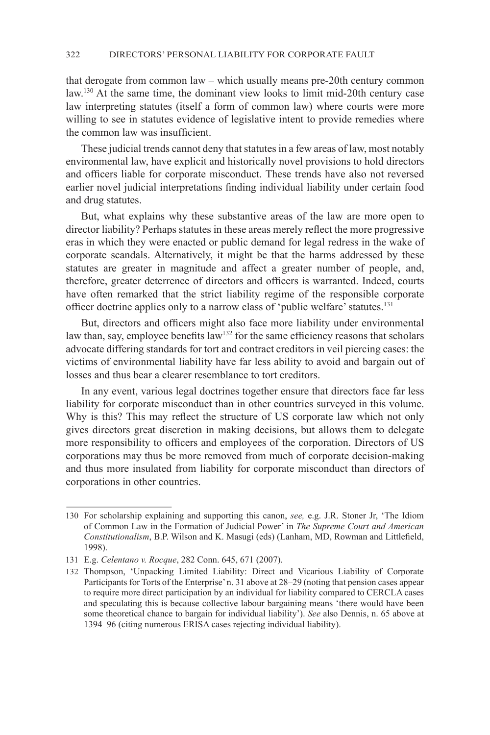that derogate from common law – which usually means pre-20th century common law.130 At the same time, the dominant view looks to limit mid-20th century case law interpreting statutes (itself a form of common law) where courts were more willing to see in statutes evidence of legislative intent to provide remedies where the common law was insufficient.

These judicial trends cannot deny that statutes in a few areas of law, most notably environmental law, have explicit and historically novel provisions to hold directors and officers liable for corporate misconduct. These trends have also not reversed earlier novel judicial interpretations finding individual liability under certain food and drug statutes.

But, what explains why these substantive areas of the law are more open to director liability? Perhaps statutes in these areas merely reflect the more progressive eras in which they were enacted or public demand for legal redress in the wake of corporate scandals. Alternatively, it might be that the harms addressed by these statutes are greater in magnitude and affect a greater number of people, and, therefore, greater deterrence of directors and officers is warranted. Indeed, courts have often remarked that the strict liability regime of the responsible corporate officer doctrine applies only to a narrow class of 'public welfare' statutes.<sup>131</sup>

But, directors and officers might also face more liability under environmental law than, say, employee benefits  $law<sup>132</sup>$  for the same efficiency reasons that scholars advocate differing standards for tort and contract creditors in veil piercing cases: the victims of environmental liability have far less ability to avoid and bargain out of losses and thus bear a clearer resemblance to tort creditors.

In any event, various legal doctrines together ensure that directors face far less liability for corporate misconduct than in other countries surveyed in this volume. Why is this? This may reflect the structure of US corporate law which not only gives directors great discretion in making decisions, but allows them to delegate more responsibility to officers and employees of the corporation. Directors of US corporations may thus be more removed from much of corporate decision-making and thus more insulated from liability for corporate misconduct than directors of corporations in other countries.

<sup>130</sup> For scholarship explaining and supporting this canon, *see,* e.g. J.R. Stoner Jr, 'The Idiom of Common Law in the Formation of Judicial Power' in *The Supreme Court and American Constitutionalism*, B.P. Wilson and K. Masugi (eds) (Lanham, MD, Rowman and Littlefield, 1998).

<sup>131</sup> E.g. *Celentano v. Rocque*, 282 Conn. 645, 671 (2007).

<sup>132</sup> Thompson, 'Unpacking Limited Liability: Direct and Vicarious Liability of Corporate Participants for Torts of the Enterprise' n. 31 above at 28–29 (noting that pension cases appear to require more direct participation by an individual for liability compared to CERCLA cases and speculating this is because collective labour bargaining means 'there would have been some theoretical chance to bargain for individual liability'). *See* also Dennis, n. 65 above at 1394–96 (citing numerous ERISA cases rejecting individual liability).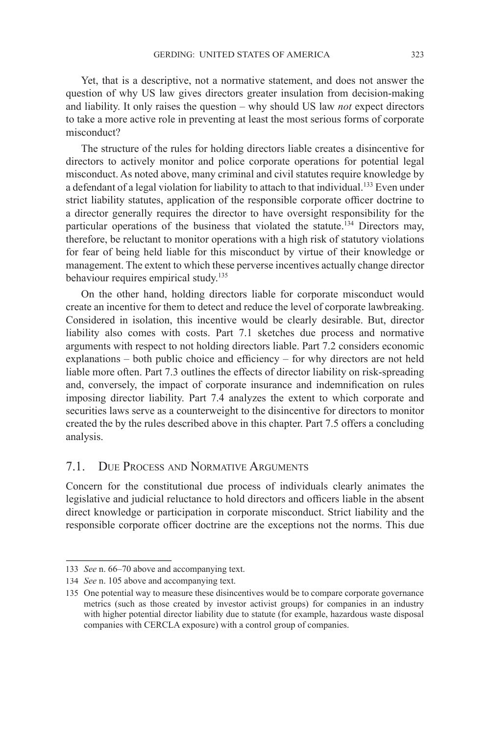Yet, that is a descriptive, not a normative statement, and does not answer the question of why US law gives directors greater insulation from decision-making and liability. It only raises the question – why should US law *not* expect directors to take a more active role in preventing at least the most serious forms of corporate misconduct?

The structure of the rules for holding directors liable creates a disincentive for directors to actively monitor and police corporate operations for potential legal misconduct. As noted above, many criminal and civil statutes require knowledge by a defendant of a legal violation for liability to attach to that individual.<sup>133</sup> Even under strict liability statutes, application of the responsible corporate officer doctrine to a director generally requires the director to have oversight responsibility for the particular operations of the business that violated the statute.<sup>134</sup> Directors may, therefore, be reluctant to monitor operations with a high risk of statutory violations for fear of being held liable for this misconduct by virtue of their knowledge or management. The extent to which these perverse incentives actually change director behaviour requires empirical study.<sup>135</sup>

On the other hand, holding directors liable for corporate misconduct would create an incentive for them to detect and reduce the level of corporate lawbreaking. Considered in isolation, this incentive would be clearly desirable. But, director liability also comes with costs. Part 7.1 sketches due process and normative arguments with respect to not holding directors liable. Part 7.2 considers economic  $explanations - both public choice and efficiency - for why directory are not held$ liable more often. Part 7.3 outlines the effects of director liability on risk-spreading and, conversely, the impact of corporate insurance and indemnification on rules imposing director liability. Part 7.4 analyzes the extent to which corporate and securities laws serve as a counterweight to the disincentive for directors to monitor created the by the rules described above in this chapter. Part 7.5 offers a concluding analysis.

#### 7.1. DUE PROCESS AND NORMATIVE ARGUMENTS

Concern for the constitutional due process of individuals clearly animates the legislative and judicial reluctance to hold directors and officers liable in the absent direct knowledge or participation in corporate misconduct. Strict liability and the responsible corporate officer doctrine are the exceptions not the norms. This due

<sup>133</sup> *See* n. 66–70 above and accompanying text.

<sup>134</sup> *See* n. 105 above and accompanying text.

<sup>135</sup> One potential way to measure these disincentives would be to compare corporate governance metrics (such as those created by investor activist groups) for companies in an industry with higher potential director liability due to statute (for example, hazardous waste disposal companies with CERCLA exposure) with a control group of companies.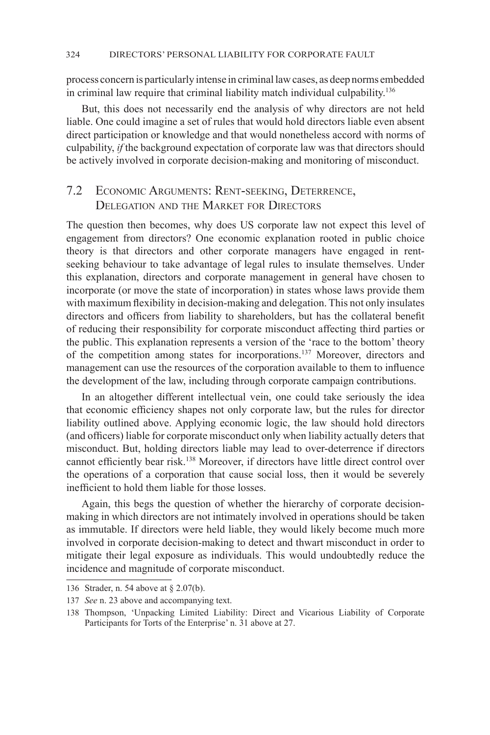process concern is particularly intense in criminal law cases, as deep norms embedded in criminal law require that criminal liability match individual culpability. 136

But, this does not necessarily end the analysis of why directors are not held liable. One could imagine a set of rules that would hold directors liable even absent direct participation or knowledge and that would nonetheless accord with norms of culpability, *if* the background expectation of corporate law was that directors should be actively involved in corporate decision-making and monitoring of misconduct.

#### 7.2 ECONOMIC ARGUMENTS: RENT-SEEKING, DETERRENCE, DELEGATION AND THE MARKET FOR DIRECTORS

The question then becomes, why does US corporate law not expect this level of engagement from directors? One economic explanation rooted in public choice theory is that directors and other corporate managers have engaged in rentseeking behaviour to take advantage of legal rules to insulate themselves. Under this explanation, directors and corporate management in general have chosen to incorporate (or move the state of incorporation) in states whose laws provide them with maximum flexibility in decision-making and delegation. This not only insulates directors and officers from liability to shareholders, but has the collateral benefit of reducing their responsibility for corporate misconduct affecting third parties or the public. This explanation represents a version of the 'race to the bottom' theory of the competition among states for incorporations.137 Moreover, directors and management can use the resources of the corporation available to them to influence the development of the law, including through corporate campaign contributions.

In an altogether different intellectual vein, one could take seriously the idea that economic efficiency shapes not only corporate law, but the rules for director liability outlined above. Applying economic logic, the law should hold directors (and officers) liable for corporate misconduct only when liability actually deters that misconduct. But, holding directors liable may lead to over-deterrence if directors cannot efficiently bear risk.<sup>138</sup> Moreover, if directors have little direct control over the operations of a corporation that cause social loss, then it would be severely inefficient to hold them liable for those losses.

Again, this begs the question of whether the hierarchy of corporate decisionmaking in which directors are not intimately involved in operations should be taken as immutable. If directors were held liable, they would likely become much more involved in corporate decision-making to detect and thwart misconduct in order to mitigate their legal exposure as individuals. This would undoubtedly reduce the incidence and magnitude of corporate misconduct.

<sup>136</sup> Strader, n. 54 above at § 2.07(b).

<sup>137</sup> *See* n. 23 above and accompanying text.

<sup>138</sup> Thompson, 'Unpacking Limited Liability: Direct and Vicarious Liability of Corporate Participants for Torts of the Enterprise' n. 31 above at 27.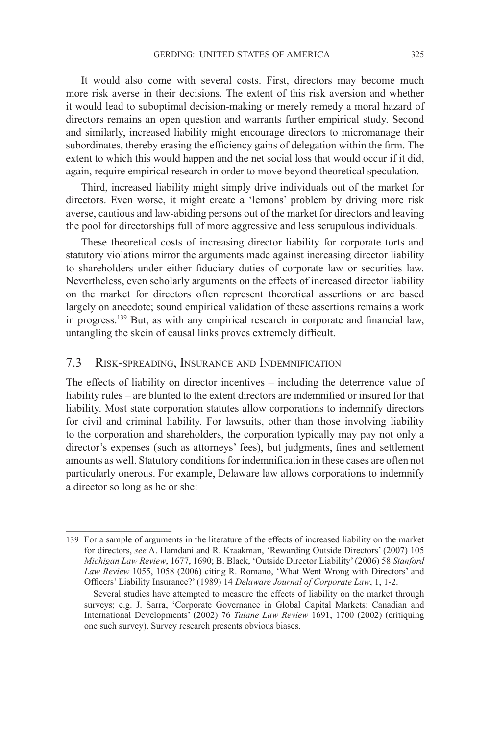It would also come with several costs. First, directors may become much more risk averse in their decisions. The extent of this risk aversion and whether it would lead to suboptimal decision-making or merely remedy a moral hazard of directors remains an open question and warrants further empirical study. Second and similarly, increased liability might encourage directors to micromanage their subordinates, thereby erasing the efficiency gains of delegation within the firm. The extent to which this would happen and the net social loss that would occur if it did, again, require empirical research in order to move beyond theoretical speculation.

Third, increased liability might simply drive individuals out of the market for directors. Even worse, it might create a 'lemons' problem by driving more risk averse, cautious and law-abiding persons out of the market for directors and leaving the pool for directorships full of more aggressive and less scrupulous individuals.

These theoretical costs of increasing director liability for corporate torts and statutory violations mirror the arguments made against increasing director liability to shareholders under either fiduciary duties of corporate law or securities law. Nevertheless, even scholarly arguments on the effects of increased director liability on the market for directors often represent theoretical assertions or are based largely on anecdote; sound empirical validation of these assertions remains a work in progress.<sup>139</sup> But, as with any empirical research in corporate and financial law, untangling the skein of causal links proves extremely difficult.

#### 7.3 RISK-SPREADING, INSURANCE AND INDEMNIFICATION

The effects of liability on director incentives – including the deterrence value of liability rules – are blunted to the extent directors are indemnified or insured for that liability. Most state corporation statutes allow corporations to indemnify directors for civil and criminal liability. For lawsuits, other than those involving liability to the corporation and shareholders, the corporation typically may pay not only a director's expenses (such as attorneys' fees), but judgments, fines and settlement amounts as well. Statutory conditions for indemnification in these cases are often not particularly onerous. For example, Delaware law allows corporations to indemnify a director so long as he or she:

<sup>139</sup> For a sample of arguments in the literature of the effects of increased liability on the market for directors, *see* A. Hamdani and R. Kraakman, 'Rewarding Outside Directors' (2007) 105 *Michigan Law Review*, 1677, 1690; B. Black, 'Outside Director Liability' (2006) 58 *Stanford Law Review* 1055, 1058 (2006) citing R. Romano, 'What Went Wrong with Directors' and Officers' Liability Insurance?' (1989) 14 *Delaware Journal of Corporate Law*, 1, 1-2.

Several studies have attempted to measure the effects of liability on the market through surveys; e.g. J. Sarra, 'Corporate Governance in Global Capital Markets: Canadian and International Developments' (2002) 76 *Tulane Law Review* 1691, 1700 (2002) (critiquing one such survey). Survey research presents obvious biases.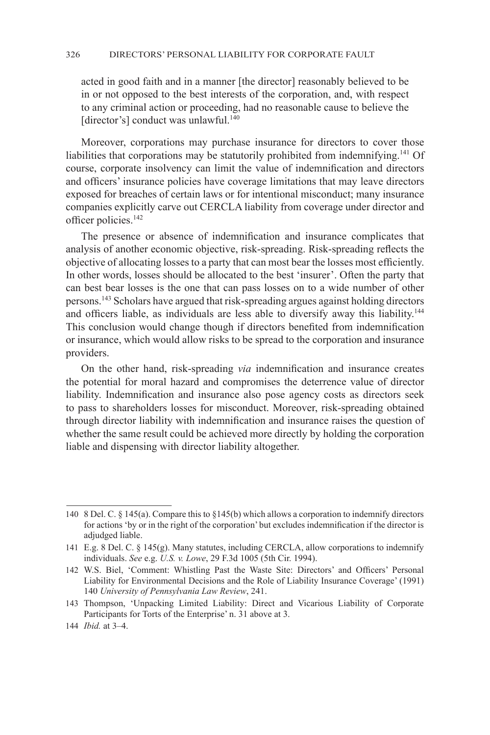acted in good faith and in a manner [the director] reasonably believed to be in or not opposed to the best interests of the corporation, and, with respect to any criminal action or proceeding, had no reasonable cause to believe the [director's] conduct was unlawful.<sup>140</sup>

Moreover, corporations may purchase insurance for directors to cover those liabilities that corporations may be statutorily prohibited from indemnifying.<sup>141</sup> Of course, corporate insolvency can limit the value of indemnification and directors and officers' insurance policies have coverage limitations that may leave directors exposed for breaches of certain laws or for intentional misconduct; many insurance companies explicitly carve out CERCLA liability from coverage under director and officer policies.<sup>142</sup>

The presence or absence of indemnification and insurance complicates that analysis of another economic objective, risk-spreading. Risk-spreading reflects the objective of allocating losses to a party that can most bear the losses most efficiently. In other words, losses should be allocated to the best 'insurer'. Often the party that can best bear losses is the one that can pass losses on to a wide number of other persons.143 Scholars have argued that risk-spreading argues against holding directors and officers liable, as individuals are less able to diversify away this liability.<sup>144</sup> This conclusion would change though if directors benefited from indemnification or insurance, which would allow risks to be spread to the corporation and insurance providers.

On the other hand, risk-spreading *via* indemnification and insurance creates the potential for moral hazard and compromises the deterrence value of director liability. Indemnification and insurance also pose agency costs as directors seek to pass to shareholders losses for misconduct. Moreover, risk-spreading obtained through director liability with indemnification and insurance raises the question of whether the same result could be achieved more directly by holding the corporation liable and dispensing with director liability altogether.

<sup>140 8</sup> Del. C. § 145(a). Compare this to §145(b) which allows a corporation to indemnify directors for actions 'by or in the right of the corporation' but excludes indemnification if the director is adjudged liable.

<sup>141</sup> E.g. 8 Del. C.  $\S$  145(g). Many statutes, including CERCLA, allow corporations to indemnify individuals. *See* e.g. *U.S. v. Lowe*, 29 F.3d 1005 (5th Cir. 1994).

<sup>142</sup> W.S. Biel, 'Comment: Whistling Past the Waste Site: Directors' and Officers' Personal Liability for Environmental Decisions and the Role of Liability Insurance Coverage' (1991) 140 *University of Pennsylvania Law Review*, 241.

<sup>143</sup> Thompson, 'Unpacking Limited Liability: Direct and Vicarious Liability of Corporate Participants for Torts of the Enterprise' n. 31 above at 3.

<sup>144</sup> *Ibid.* at 3–4.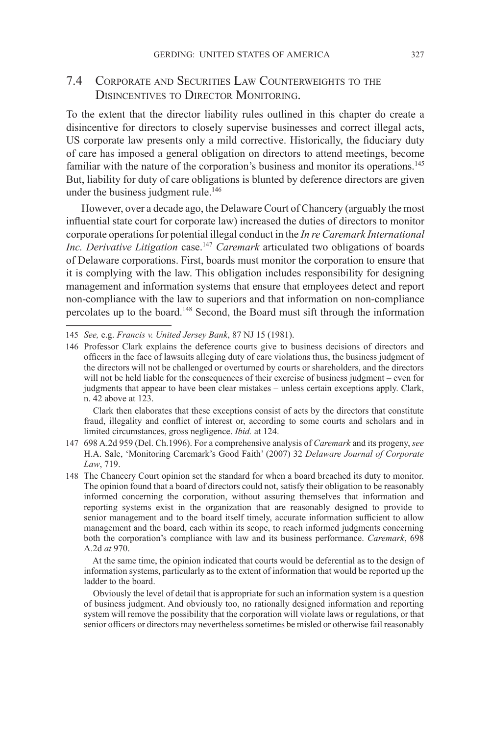#### 7.4 CORPORATE AND SECURITIES LAW COUNTERWEIGHTS TO THE DISINCENTIVES TO DIRECTOR MONITORING.

To the extent that the director liability rules outlined in this chapter do create a disincentive for directors to closely supervise businesses and correct illegal acts, US corporate law presents only a mild corrective. Historically, the fiduciary duty of care has imposed a general obligation on directors to attend meetings, become familiar with the nature of the corporation's business and monitor its operations.<sup>145</sup> But, liability for duty of care obligations is blunted by deference directors are given under the business judgment rule.<sup>146</sup>

However, over a decade ago, the Delaware Court of Chancery (arguably the most influential state court for corporate law) increased the duties of directors to monitor corporate operations for potential illegal conduct in the *In re Caremark International Inc. Derivative Litigation* case.<sup>147</sup> *Caremark* articulated two obligations of boards of Delaware corporations. First, boards must monitor the corporation to ensure that it is complying with the law. This obligation includes responsibility for designing management and information systems that ensure that employees detect and report non-compliance with the law to superiors and that information on non-compliance percolates up to the board.148 Second, the Board must sift through the information

 Clark then elaborates that these exceptions consist of acts by the directors that constitute fraud, illegality and conflict of interest or, according to some courts and scholars and in limited circumstances, gross negligence. *Ibid.* at 124.

 At the same time, the opinion indicated that courts would be deferential as to the design of information systems, particularly as to the extent of information that would be reported up the ladder to the board.

 Obviously the level of detail that is appropriate for such an information system is a question of business judgment. And obviously too, no rationally designed information and reporting system will remove the possibility that the corporation will violate laws or regulations, or that senior officers or directors may nevertheless sometimes be misled or otherwise fail reasonably

<sup>145</sup> *See,* e.g. *Francis v. United Jersey Bank*, 87 NJ 15 (1981).

<sup>146</sup> Professor Clark explains the deference courts give to business decisions of directors and officers in the face of lawsuits alleging duty of care violations thus, the business judgment of the directors will not be challenged or overturned by courts or shareholders, and the directors will not be held liable for the consequences of their exercise of business judgment – even for judgments that appear to have been clear mistakes – unless certain exceptions apply. Clark, n. 42 above at 123.

<sup>147 698</sup> A.2d 959 (Del. Ch.1996). For a comprehensive analysis of *Caremark* and its progeny, *see* H.A. Sale, 'Monitoring Caremark's Good Faith' (2007) 32 *Delaware Journal of Corporate Law*,719.

<sup>148</sup> The Chancery Court opinion set the standard for when a board breached its duty to monitor. The opinion found that a board of directors could not, satisfy their obligation to be reasonably informed concerning the corporation, without assuring themselves that information and reporting systems exist in the organization that are reasonably designed to provide to senior management and to the board itself timely, accurate information sufficient to allow management and the board, each within its scope, to reach informed judgments concerning both the corporation's compliance with law and its business performance. *Caremark*, 698 A.2d *at* 970.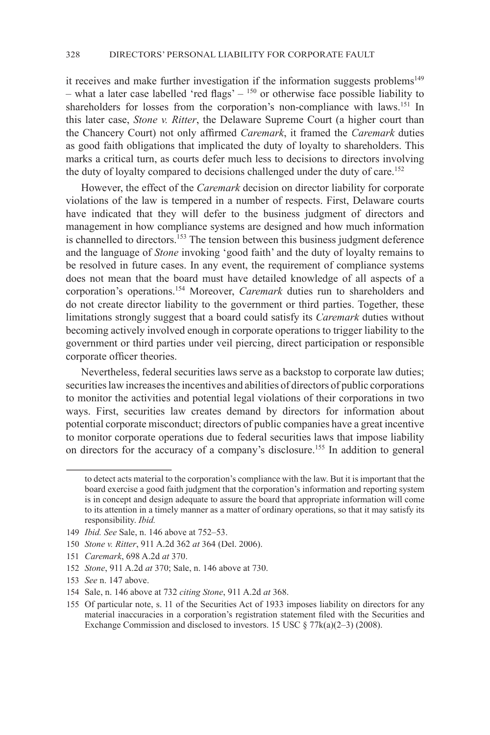it receives and make further investigation if the information suggests problems<sup>149</sup> – what a later case labelled 'red flags' –  $150$  or otherwise face possible liability to shareholders for losses from the corporation's non-compliance with laws.<sup>151</sup> In this later case, *Stone v. Ritter*, the Delaware Supreme Court (a higher court than the Chancery Court) not only affirmed *Caremark*, it framed the *Caremark* duties as good faith obligations that implicated the duty of loyalty to shareholders. This marks a critical turn, as courts defer much less to decisions to directors involving the duty of loyalty compared to decisions challenged under the duty of care.<sup>152</sup>

However, the effect of the *Caremark* decision on director liability for corporate violations of the law is tempered in a number of respects. First, Delaware courts have indicated that they will defer to the business judgment of directors and management in how compliance systems are designed and how much information is channelled to directors.<sup>153</sup> The tension between this business judgment deference and the language of *Stone* invoking 'good faith' and the duty of loyalty remains to be resolved in future cases. In any event, the requirement of compliance systems does not mean that the board must have detailed knowledge of all aspects of a corporation's operations.154 Moreover, *Caremark* duties run to shareholders and do not create director liability to the government or third parties. Together, these limitations strongly suggest that a board could satisfy its *Caremark* duties without becoming actively involved enough in corporate operations to trigger liability to the government or third parties under veil piercing, direct participation or responsible corporate officer theories.

Nevertheless, federal securities laws serve as a backstop to corporate law duties; securities law increases the incentives and abilities of directors of public corporations to monitor the activities and potential legal violations of their corporations in two ways. First, securities law creates demand by directors for information about potential corporate misconduct; directors of public companies have a great incentive to monitor corporate operations due to federal securities laws that impose liability on directors for the accuracy of a company's disclosure.155 In addition to general

to detect acts material to the corporation's compliance with the law. But it is important that the board exercise a good faith judgment that the corporation's information and reporting system is in concept and design adequate to assure the board that appropriate information will come to its attention in a timely manner as a matter of ordinary operations, so that it may satisfy its responsibility. *Ibid.*

<sup>149</sup> *Ibid. See* Sale, n. 146 above at 752–53.

<sup>150</sup> *Stone v. Ritter*, 911 A.2d 362 *at* 364 (Del. 2006).

<sup>151</sup> *Caremark*, 698 A.2d *at* 370.

<sup>152</sup> *Stone*, 911 A.2d *at* 370; Sale, n. 146 above at 730.

<sup>153</sup> *See* n. 147 above.

<sup>154</sup> Sale, n. 146 above at 732 *citing Stone*, 911 A.2d *at* 368.

<sup>155</sup> Of particular note, s. 11 of the Securities Act of 1933 imposes liability on directors for any material inaccuracies in a corporation's registration statement filed with the Securities and Exchange Commission and disclosed to investors. 15 USC  $\S 77k(a)(2-3)$  (2008).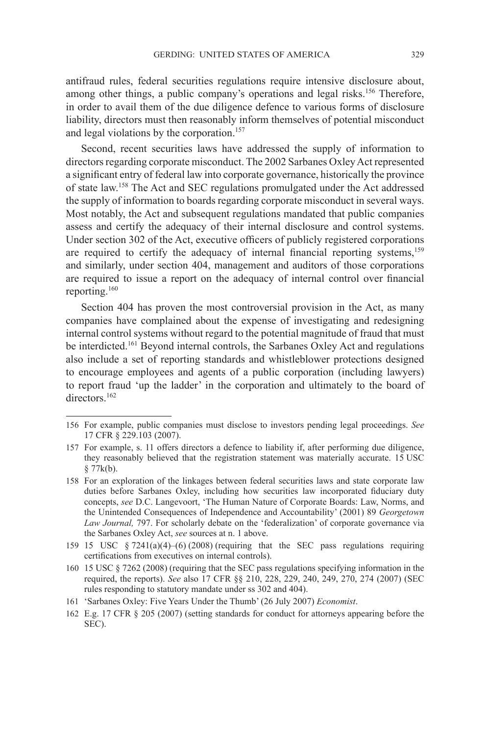antifraud rules, federal securities regulations require intensive disclosure about, among other things, a public company's operations and legal risks.<sup>156</sup> Therefore, in order to avail them of the due diligence defence to various forms of disclosure liability, directors must then reasonably inform themselves of potential misconduct and legal violations by the corporation.<sup>157</sup>

Second, recent securities laws have addressed the supply of information to directors regarding corporate misconduct. The 2002 Sarbanes Oxley Act represented a significant entry of federal law into corporate governance, historically the province of state law.158 The Act and SEC regulations promulgated under the Act addressed the supply of information to boards regarding corporate misconduct in several ways. Most notably, the Act and subsequent regulations mandated that public companies assess and certify the adequacy of their internal disclosure and control systems. Under section 302 of the Act, executive officers of publicly registered corporations are required to certify the adequacy of internal financial reporting systems, $159$ and similarly, under section 404, management and auditors of those corporations are required to issue a report on the adequacy of internal control over financial reporting.160

Section 404 has proven the most controversial provision in the Act, as many companies have complained about the expense of investigating and redesigning internal control systems without regard to the potential magnitude of fraud that must be interdicted.<sup>161</sup> Beyond internal controls, the Sarbanes Oxley Act and regulations also include a set of reporting standards and whistleblower protections designed to encourage employees and agents of a public corporation (including lawyers) to report fraud 'up the ladder' in the corporation and ultimately to the board of directors<sup>162</sup>

<sup>156</sup> For example, public companies must disclose to investors pending legal proceedings. *See* 17 CFR § 229.103 (2007).

<sup>157</sup> For example, s. 11 offers directors a defence to liability if, after performing due diligence, they reasonably believed that the registration statement was materially accurate. 15 USC  $§ 77k(b).$ 

<sup>158</sup> For an exploration of the linkages between federal securities laws and state corporate law duties before Sarbanes Oxley, including how securities law incorporated fiduciary duty concepts, *see* D.C. Langevoort, 'The Human Nature of Corporate Boards: Law, Norms, and the Unintended Consequences of Independence and Accountability' (2001) 89 *Georgetown Law Journal,* 797. For scholarly debate on the 'federalization' of corporate governance via the Sarbanes Oxley Act, *see* sources at n. 1 above.

<sup>159 15</sup> USC  $\S$  7241(a)(4)–(6) (2008) (requiring that the SEC pass regulations requiring certifications from executives on internal controls).

<sup>160 15</sup> USC § 7262 (2008) (requiring that the SEC pass regulations specifying information in the required, the reports). *See* also 17 CFR §§ 210, 228, 229, 240, 249, 270, 274 (2007) (SEC rules responding to statutory mandate under ss 302 and 404).

<sup>161 &#</sup>x27;Sarbanes Oxley: Five Years Under the Thumb' (26 July 2007) *Economist*.

<sup>162</sup> E.g. 17 CFR § 205 (2007) (setting standards for conduct for attorneys appearing before the SEC).